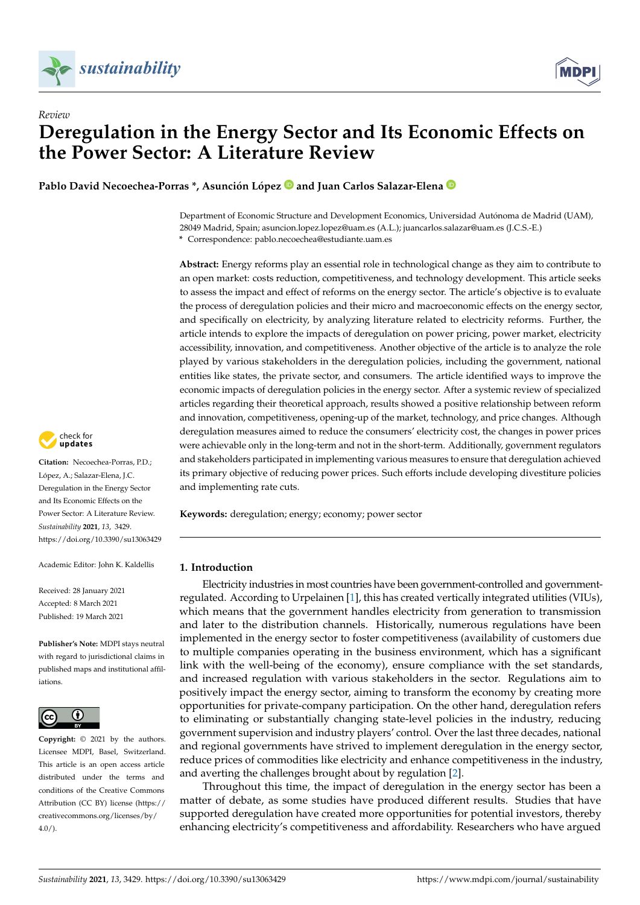



# *Review* **Deregulation in the Energy Sector and Its Economic Effects on the Power Sector: A Literature Review**

**Pablo David Necoechea-Porras \*, Asunción López and Juan Carlos Salazar-Elena**

Department of Economic Structure and Development Economics, Universidad Autónoma de Madrid (UAM), 28049 Madrid, Spain; asuncion.lopez.lopez@uam.es (A.L.); juancarlos.salazar@uam.es (J.C.S.-E.) **\*** Correspondence: pablo.necoechea@estudiante.uam.es

**Abstract:** Energy reforms play an essential role in technological change as they aim to contribute to an open market: costs reduction, competitiveness, and technology development. This article seeks to assess the impact and effect of reforms on the energy sector. The article's objective is to evaluate the process of deregulation policies and their micro and macroeconomic effects on the energy sector, and specifically on electricity, by analyzing literature related to electricity reforms. Further, the article intends to explore the impacts of deregulation on power pricing, power market, electricity accessibility, innovation, and competitiveness. Another objective of the article is to analyze the role played by various stakeholders in the deregulation policies, including the government, national entities like states, the private sector, and consumers. The article identified ways to improve the economic impacts of deregulation policies in the energy sector. After a systemic review of specialized articles regarding their theoretical approach, results showed a positive relationship between reform and innovation, competitiveness, opening-up of the market, technology, and price changes. Although deregulation measures aimed to reduce the consumers' electricity cost, the changes in power prices were achievable only in the long-term and not in the short-term. Additionally, government regulators and stakeholders participated in implementing various measures to ensure that deregulation achieved its primary objective of reducing power prices. Such efforts include developing divestiture policies and implementing rate cuts.

**Keywords:** deregulation; energy; economy; power sector

# <span id="page-0-0"></span>**1. Introduction**

Electricity industries in most countries have been government-controlled and governmentregulated. According to Urpelainen [\[1\]](#page-20-0), this has created vertically integrated utilities (VIUs), which means that the government handles electricity from generation to transmission and later to the distribution channels. Historically, numerous regulations have been implemented in the energy sector to foster competitiveness (availability of customers due to multiple companies operating in the business environment, which has a significant link with the well-being of the economy), ensure compliance with the set standards, and increased regulation with various stakeholders in the sector. Regulations aim to positively impact the energy sector, aiming to transform the economy by creating more opportunities for private-company participation. On the other hand, deregulation refers to eliminating or substantially changing state-level policies in the industry, reducing government supervision and industry players' control. Over the last three decades, national and regional governments have strived to implement deregulation in the energy sector, reduce prices of commodities like electricity and enhance competitiveness in the industry, and averting the challenges brought about by regulation [\[2\]](#page-20-1).

Throughout this time, the impact of deregulation in the energy sector has been a matter of debate, as some studies have produced different results. Studies that have supported deregulation have created more opportunities for potential investors, thereby enhancing electricity's competitiveness and affordability. Researchers who have argued



**Citation:** Necoechea-Porras, P.D.; López, A.; Salazar-Elena, J.C. Deregulation in the Energy Sector and Its Economic Effects on the Power Sector: A Literature Review. *Sustainability* **2021**, *13*, 3429. <https://doi.org/10.3390/su13063429>

Academic Editor: John K. Kaldellis

Received: 28 January 2021 Accepted: 8 March 2021 Published: 19 March 2021

**Publisher's Note:** MDPI stays neutral with regard to jurisdictional claims in published maps and institutional affiliations.



**Copyright:** © 2021 by the authors. Licensee MDPI, Basel, Switzerland. This article is an open access article distributed under the terms and conditions of the Creative Commons Attribution (CC BY) license (https:/[/](https://creativecommons.org/licenses/by/4.0/) [creativecommons.org/licenses/by/](https://creativecommons.org/licenses/by/4.0/)  $4.0/$ ).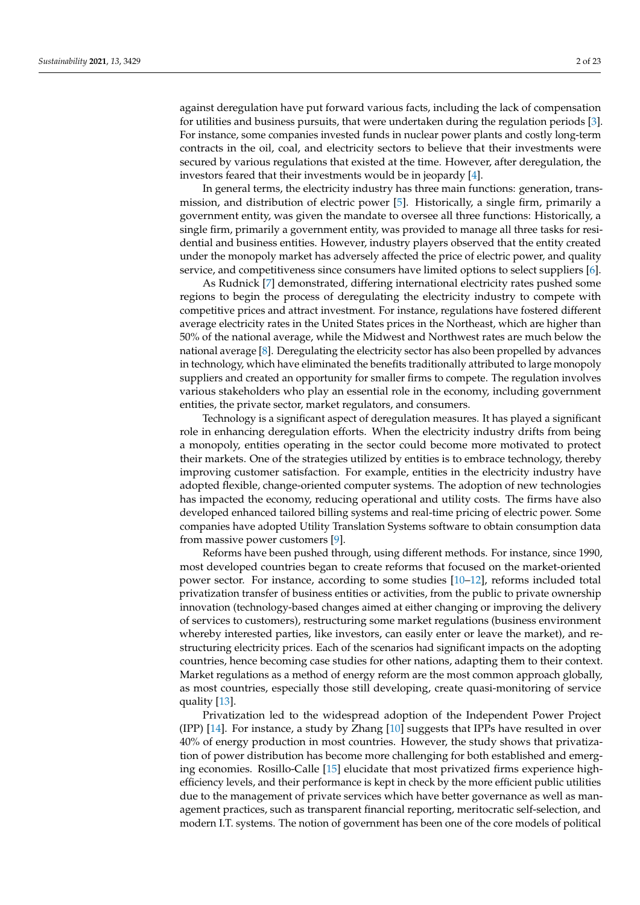against deregulation have put forward various facts, including the lack of compensation for utilities and business pursuits, that were undertaken during the regulation periods [\[3\]](#page-20-2). For instance, some companies invested funds in nuclear power plants and costly long-term contracts in the oil, coal, and electricity sectors to believe that their investments were secured by various regulations that existed at the time. However, after deregulation, the investors feared that their investments would be in jeopardy [\[4\]](#page-20-3).

In general terms, the electricity industry has three main functions: generation, transmission, and distribution of electric power [\[5\]](#page-20-4). Historically, a single firm, primarily a government entity, was given the mandate to oversee all three functions: Historically, a single firm, primarily a government entity, was provided to manage all three tasks for residential and business entities. However, industry players observed that the entity created under the monopoly market has adversely affected the price of electric power, and quality service, and competitiveness since consumers have limited options to select suppliers [\[6\]](#page-20-5).

As Rudnick [\[7\]](#page-20-6) demonstrated, differing international electricity rates pushed some regions to begin the process of deregulating the electricity industry to compete with competitive prices and attract investment. For instance, regulations have fostered different average electricity rates in the United States prices in the Northeast, which are higher than 50% of the national average, while the Midwest and Northwest rates are much below the national average [\[8\]](#page-20-7). Deregulating the electricity sector has also been propelled by advances in technology, which have eliminated the benefits traditionally attributed to large monopoly suppliers and created an opportunity for smaller firms to compete. The regulation involves various stakeholders who play an essential role in the economy, including government entities, the private sector, market regulators, and consumers.

Technology is a significant aspect of deregulation measures. It has played a significant role in enhancing deregulation efforts. When the electricity industry drifts from being a monopoly, entities operating in the sector could become more motivated to protect their markets. One of the strategies utilized by entities is to embrace technology, thereby improving customer satisfaction. For example, entities in the electricity industry have adopted flexible, change-oriented computer systems. The adoption of new technologies has impacted the economy, reducing operational and utility costs. The firms have also developed enhanced tailored billing systems and real-time pricing of electric power. Some companies have adopted Utility Translation Systems software to obtain consumption data from massive power customers [\[9\]](#page-20-8).

Reforms have been pushed through, using different methods. For instance, since 1990, most developed countries began to create reforms that focused on the market-oriented power sector. For instance, according to some studies [\[10–](#page-20-9)[12\]](#page-20-10), reforms included total privatization transfer of business entities or activities, from the public to private ownership innovation (technology-based changes aimed at either changing or improving the delivery of services to customers), restructuring some market regulations (business environment whereby interested parties, like investors, can easily enter or leave the market), and restructuring electricity prices. Each of the scenarios had significant impacts on the adopting countries, hence becoming case studies for other nations, adapting them to their context. Market regulations as a method of energy reform are the most common approach globally, as most countries, especially those still developing, create quasi-monitoring of service quality [\[13\]](#page-20-11).

Privatization led to the widespread adoption of the Independent Power Project (IPP)  $[14]$ . For instance, a study by Zhang  $[10]$  suggests that IPPs have resulted in over 40% of energy production in most countries. However, the study shows that privatization of power distribution has become more challenging for both established and emerging economies. Rosillo-Calle [\[15\]](#page-20-13) elucidate that most privatized firms experience highefficiency levels, and their performance is kept in check by the more efficient public utilities due to the management of private services which have better governance as well as management practices, such as transparent financial reporting, meritocratic self-selection, and modern I.T. systems. The notion of government has been one of the core models of political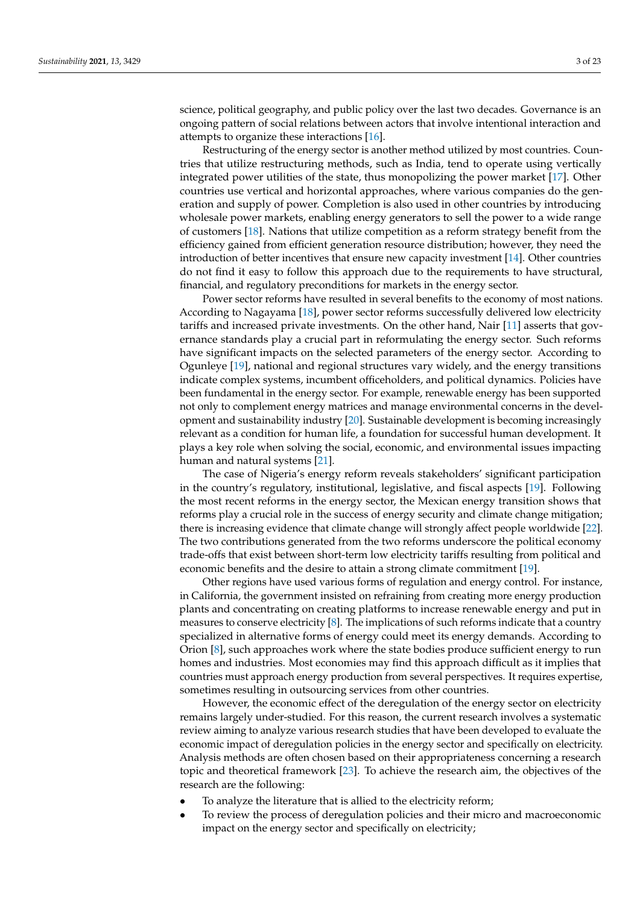science, political geography, and public policy over the last two decades. Governance is an ongoing pattern of social relations between actors that involve intentional interaction and attempts to organize these interactions [\[16\]](#page-20-14).

Restructuring of the energy sector is another method utilized by most countries. Countries that utilize restructuring methods, such as India, tend to operate using vertically integrated power utilities of the state, thus monopolizing the power market [\[17\]](#page-20-15). Other countries use vertical and horizontal approaches, where various companies do the generation and supply of power. Completion is also used in other countries by introducing wholesale power markets, enabling energy generators to sell the power to a wide range of customers [\[18\]](#page-21-0). Nations that utilize competition as a reform strategy benefit from the efficiency gained from efficient generation resource distribution; however, they need the introduction of better incentives that ensure new capacity investment [\[14\]](#page-20-12). Other countries do not find it easy to follow this approach due to the requirements to have structural, financial, and regulatory preconditions for markets in the energy sector.

Power sector reforms have resulted in several benefits to the economy of most nations. According to Nagayama [\[18\]](#page-21-0), power sector reforms successfully delivered low electricity tariffs and increased private investments. On the other hand, Nair [\[11\]](#page-20-16) asserts that governance standards play a crucial part in reformulating the energy sector. Such reforms have significant impacts on the selected parameters of the energy sector. According to Ogunleye [\[19\]](#page-21-1), national and regional structures vary widely, and the energy transitions indicate complex systems, incumbent officeholders, and political dynamics. Policies have been fundamental in the energy sector. For example, renewable energy has been supported not only to complement energy matrices and manage environmental concerns in the development and sustainability industry [\[20\]](#page-21-2). Sustainable development is becoming increasingly relevant as a condition for human life, a foundation for successful human development. It plays a key role when solving the social, economic, and environmental issues impacting human and natural systems [\[21\]](#page-21-3).

The case of Nigeria's energy reform reveals stakeholders' significant participation in the country's regulatory, institutional, legislative, and fiscal aspects [\[19\]](#page-21-1). Following the most recent reforms in the energy sector, the Mexican energy transition shows that reforms play a crucial role in the success of energy security and climate change mitigation; there is increasing evidence that climate change will strongly affect people worldwide [\[22\]](#page-21-4). The two contributions generated from the two reforms underscore the political economy trade-offs that exist between short-term low electricity tariffs resulting from political and economic benefits and the desire to attain a strong climate commitment [\[19\]](#page-21-1).

Other regions have used various forms of regulation and energy control. For instance, in California, the government insisted on refraining from creating more energy production plants and concentrating on creating platforms to increase renewable energy and put in measures to conserve electricity [\[8\]](#page-20-7). The implications of such reforms indicate that a country specialized in alternative forms of energy could meet its energy demands. According to Orion [\[8\]](#page-20-7), such approaches work where the state bodies produce sufficient energy to run homes and industries. Most economies may find this approach difficult as it implies that countries must approach energy production from several perspectives. It requires expertise, sometimes resulting in outsourcing services from other countries.

However, the economic effect of the deregulation of the energy sector on electricity remains largely under-studied. For this reason, the current research involves a systematic review aiming to analyze various research studies that have been developed to evaluate the economic impact of deregulation policies in the energy sector and specifically on electricity. Analysis methods are often chosen based on their appropriateness concerning a research topic and theoretical framework [\[23\]](#page-21-5). To achieve the research aim, the objectives of the research are the following:

- To analyze the literature that is allied to the electricity reform;
- To review the process of deregulation policies and their micro and macroeconomic impact on the energy sector and specifically on electricity;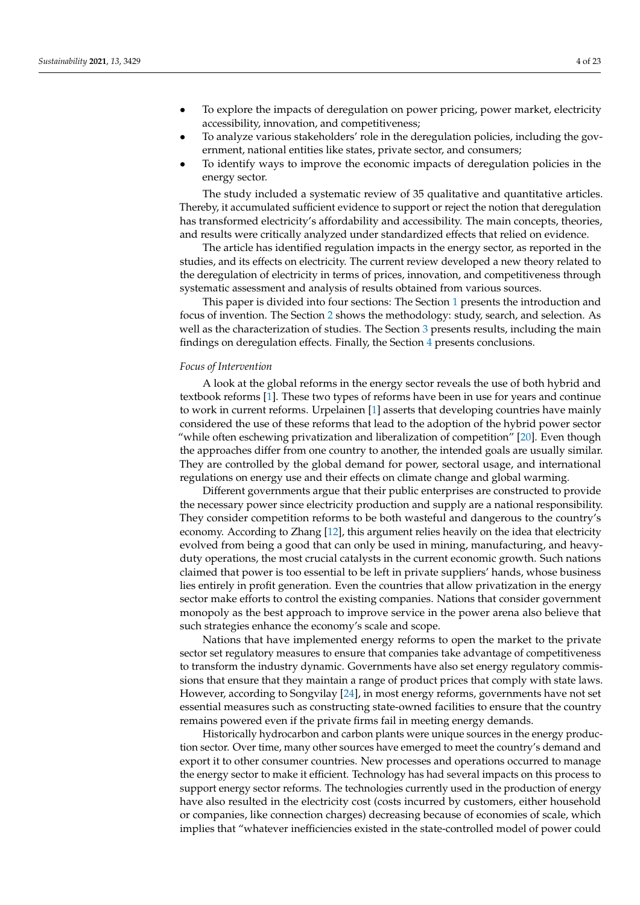- To explore the impacts of deregulation on power pricing, power market, electricity accessibility, innovation, and competitiveness;
- To analyze various stakeholders' role in the deregulation policies, including the government, national entities like states, private sector, and consumers;
- To identify ways to improve the economic impacts of deregulation policies in the energy sector.

The study included a systematic review of 35 qualitative and quantitative articles. Thereby, it accumulated sufficient evidence to support or reject the notion that deregulation has transformed electricity's affordability and accessibility. The main concepts, theories, and results were critically analyzed under standardized effects that relied on evidence.

The article has identified regulation impacts in the energy sector, as reported in the studies, and its effects on electricity. The current review developed a new theory related to the deregulation of electricity in terms of prices, innovation, and competitiveness through systematic assessment and analysis of results obtained from various sources.

This paper is divided into four sections: The Section [1](#page-0-0) presents the introduction and focus of invention. The Section [2](#page-4-0) shows the methodology: study, search, and selection. As well as the characterization of studies. The Section [3](#page-6-0) presents results, including the main findings on deregulation effects. Finally, the Section [4](#page-17-0) presents conclusions.

#### *Focus of Intervention*

A look at the global reforms in the energy sector reveals the use of both hybrid and textbook reforms [\[1\]](#page-20-0). These two types of reforms have been in use for years and continue to work in current reforms. Urpelainen [\[1\]](#page-20-0) asserts that developing countries have mainly considered the use of these reforms that lead to the adoption of the hybrid power sector "while often eschewing privatization and liberalization of competition" [\[20\]](#page-21-2). Even though the approaches differ from one country to another, the intended goals are usually similar. They are controlled by the global demand for power, sectoral usage, and international regulations on energy use and their effects on climate change and global warming.

Different governments argue that their public enterprises are constructed to provide the necessary power since electricity production and supply are a national responsibility. They consider competition reforms to be both wasteful and dangerous to the country's economy. According to Zhang [\[12\]](#page-20-10), this argument relies heavily on the idea that electricity evolved from being a good that can only be used in mining, manufacturing, and heavyduty operations, the most crucial catalysts in the current economic growth. Such nations claimed that power is too essential to be left in private suppliers' hands, whose business lies entirely in profit generation. Even the countries that allow privatization in the energy sector make efforts to control the existing companies. Nations that consider government monopoly as the best approach to improve service in the power arena also believe that such strategies enhance the economy's scale and scope.

Nations that have implemented energy reforms to open the market to the private sector set regulatory measures to ensure that companies take advantage of competitiveness to transform the industry dynamic. Governments have also set energy regulatory commissions that ensure that they maintain a range of product prices that comply with state laws. However, according to Songvilay [\[24\]](#page-21-6), in most energy reforms, governments have not set essential measures such as constructing state-owned facilities to ensure that the country remains powered even if the private firms fail in meeting energy demands.

Historically hydrocarbon and carbon plants were unique sources in the energy production sector. Over time, many other sources have emerged to meet the country's demand and export it to other consumer countries. New processes and operations occurred to manage the energy sector to make it efficient. Technology has had several impacts on this process to support energy sector reforms. The technologies currently used in the production of energy have also resulted in the electricity cost (costs incurred by customers, either household or companies, like connection charges) decreasing because of economies of scale, which implies that "whatever inefficiencies existed in the state-controlled model of power could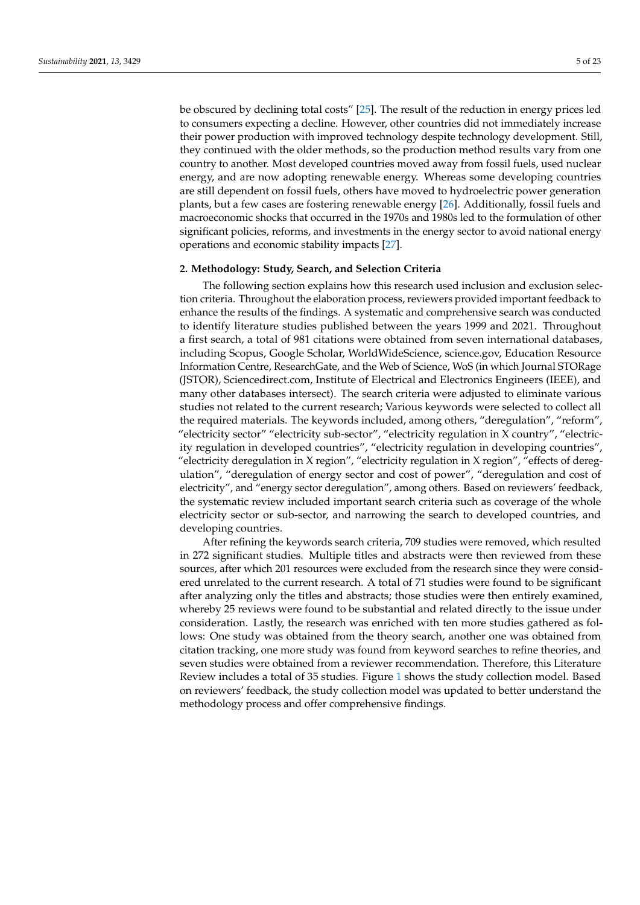be obscured by declining total costs" [\[25\]](#page-21-7). The result of the reduction in energy prices led to consumers expecting a decline. However, other countries did not immediately increase their power production with improved technology despite technology development. Still, they continued with the older methods, so the production method results vary from one country to another. Most developed countries moved away from fossil fuels, used nuclear energy, and are now adopting renewable energy. Whereas some developing countries are still dependent on fossil fuels, others have moved to hydroelectric power generation plants, but a few cases are fostering renewable energy [\[26\]](#page-21-8). Additionally, fossil fuels and macroeconomic shocks that occurred in the 1970s and 1980s led to the formulation of other significant policies, reforms, and investments in the energy sector to avoid national energy operations and economic stability impacts [\[27\]](#page-21-9).

# <span id="page-4-0"></span>**2. Methodology: Study, Search, and Selection Criteria**

The following section explains how this research used inclusion and exclusion selection criteria. Throughout the elaboration process, reviewers provided important feedback to enhance the results of the findings. A systematic and comprehensive search was conducted to identify literature studies published between the years 1999 and 2021. Throughout a first search, a total of 981 citations were obtained from seven international databases, including Scopus, Google Scholar, WorldWideScience, science.gov, Education Resource Information Centre, ResearchGate, and the Web of Science, WoS (in which Journal STORage (JSTOR), Sciencedirect.com, Institute of Electrical and Electronics Engineers (IEEE), and many other databases intersect). The search criteria were adjusted to eliminate various studies not related to the current research; Various keywords were selected to collect all the required materials. The keywords included, among others, "deregulation", "reform", "electricity sector" "electricity sub-sector", "electricity regulation in X country", "electricity regulation in developed countries", "electricity regulation in developing countries", "electricity deregulation in X region", "electricity regulation in X region", "effects of deregulation", "deregulation of energy sector and cost of power", "deregulation and cost of electricity", and "energy sector deregulation", among others. Based on reviewers' feedback, the systematic review included important search criteria such as coverage of the whole electricity sector or sub-sector, and narrowing the search to developed countries, and developing countries.

After refining the keywords search criteria, 709 studies were removed, which resulted in 272 significant studies. Multiple titles and abstracts were then reviewed from these sources, after which 201 resources were excluded from the research since they were considered unrelated to the current research. A total of 71 studies were found to be significant after analyzing only the titles and abstracts; those studies were then entirely examined, whereby 25 reviews were found to be substantial and related directly to the issue under consideration. Lastly, the research was enriched with ten more studies gathered as follows: One study was obtained from the theory search, another one was obtained from citation tracking, one more study was found from keyword searches to refine theories, and seven studies were obtained from a reviewer recommendation. Therefore, this Literature Review includes a total of 35 studies. Figure [1](#page-5-0) shows the study collection model. Based on reviewers' feedback, the study collection model was updated to better understand the methodology process and offer comprehensive findings.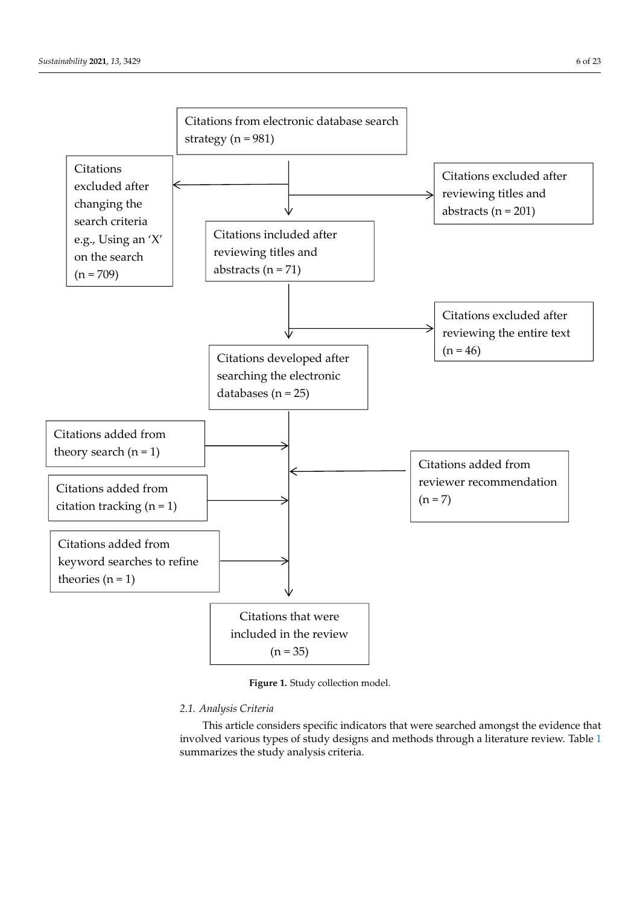<span id="page-5-0"></span>

**Figure 1.** Study collection model. **Figure 1.** Study collection model.

# *2.1. Analysis Criteria 2.1. Analysis Criteria*

This article considers specific indicators that were searched amongst the evidence This article considers specific indicators that were searched amongst the evidence that involved various types of study designs and methods through a literature review. Table [1](#page-6-1) summarizes the study analysis criteria.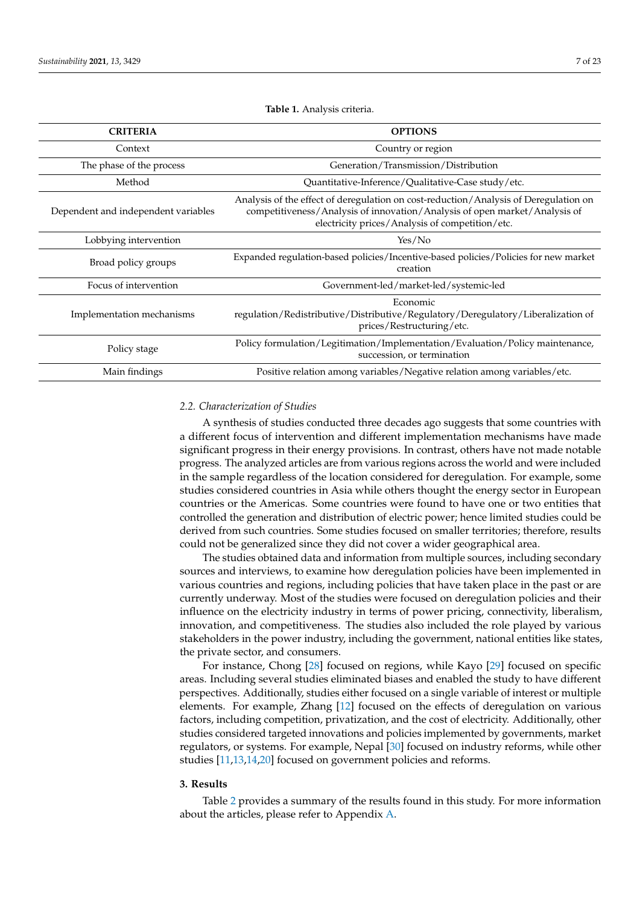<span id="page-6-1"></span>**CRITERIA OPTIONS** Context Country or region The phase of the process Generation/Transmission/Distribution Method Quantitative-Inference/Qualitative-Case study/etc. Dependent and independent variables Analysis of the effect of deregulation on cost-reduction/Analysis of Deregulation on competitiveness/Analysis of innovation/Analysis of open market/Analysis of electricity prices/Analysis of competition/etc. Lobbying intervention Yes/No Broad policy groups Expanded regulation-based policies/Incentive-based policies/Policies for new market creation Focus of intervention Government-led/market-led/systemic-led Implementation mechanisms Economic regulation/Redistributive/Distributive/Regulatory/Deregulatory/Liberalization of prices/Restructuring/etc. Policy formulation/Legitimation/Implementation/Evaluation/Policy maintenance, succession, or termination Main findings Positive relation among variables/Negative relation among variables/etc.

**Table 1.** Analysis criteria.

#### *2.2. Characterization of Studies*

A synthesis of studies conducted three decades ago suggests that some countries with a different focus of intervention and different implementation mechanisms have made significant progress in their energy provisions. In contrast, others have not made notable progress. The analyzed articles are from various regions across the world and were included in the sample regardless of the location considered for deregulation. For example, some studies considered countries in Asia while others thought the energy sector in European countries or the Americas. Some countries were found to have one or two entities that controlled the generation and distribution of electric power; hence limited studies could be derived from such countries. Some studies focused on smaller territories; therefore, results could not be generalized since they did not cover a wider geographical area.

The studies obtained data and information from multiple sources, including secondary sources and interviews, to examine how deregulation policies have been implemented in various countries and regions, including policies that have taken place in the past or are currently underway. Most of the studies were focused on deregulation policies and their influence on the electricity industry in terms of power pricing, connectivity, liberalism, innovation, and competitiveness. The studies also included the role played by various stakeholders in the power industry, including the government, national entities like states, the private sector, and consumers.

For instance, Chong [\[28\]](#page-21-10) focused on regions, while Kayo [\[29\]](#page-21-11) focused on specific areas. Including several studies eliminated biases and enabled the study to have different perspectives. Additionally, studies either focused on a single variable of interest or multiple elements. For example, Zhang [\[12\]](#page-20-10) focused on the effects of deregulation on various factors, including competition, privatization, and the cost of electricity. Additionally, other studies considered targeted innovations and policies implemented by governments, market regulators, or systems. For example, Nepal [\[30\]](#page-21-12) focused on industry reforms, while other studies [\[11](#page-20-16)[,13](#page-20-11)[,14](#page-20-12)[,20\]](#page-21-2) focused on government policies and reforms.

#### <span id="page-6-0"></span>**3. Results**

Table [2](#page-11-0) provides a summary of the results found in this study. For more information about the articles, please refer to Appendix [A.](#page-19-0)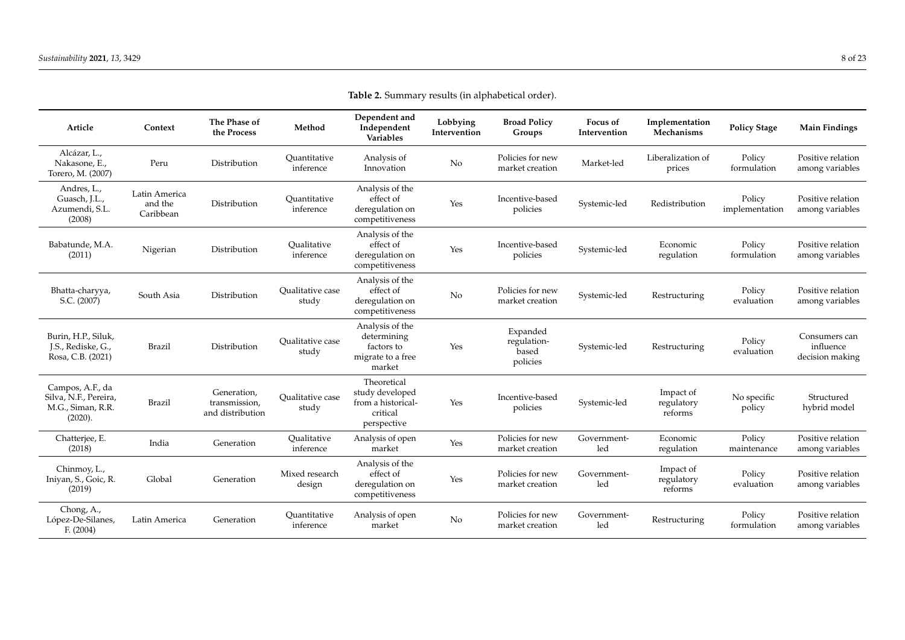| Article                                                                   | Context                               | The Phase of<br>the Process                      | Method                           | Dependent and<br>Independent<br><b>Variables</b>                                | Lobbying<br>Intervention | <b>Broad Policy</b><br>Groups                | Focus of<br>Intervention | Implementation<br>Mechanisms       | <b>Policy Stage</b>      | <b>Main Findings</b>                          |
|---------------------------------------------------------------------------|---------------------------------------|--------------------------------------------------|----------------------------------|---------------------------------------------------------------------------------|--------------------------|----------------------------------------------|--------------------------|------------------------------------|--------------------------|-----------------------------------------------|
| Alcázar, L.,<br>Nakasone, E.,<br>Torero, M. (2007)                        | Peru                                  | Distribution                                     | Ouantitative<br>inference        | Analysis of<br>Innovation                                                       | N <sub>o</sub>           | Policies for new<br>market creation          | Market-led               | Liberalization of<br>prices        | Policy<br>formulation    | Positive relation<br>among variables          |
| Andres, L.,<br>Guasch, J.L.,<br>Azumendi, S.L.<br>(2008)                  | Latin America<br>and the<br>Caribbean | Distribution                                     | Quantitative<br>inference        | Analysis of the<br>effect of<br>deregulation on<br>competitiveness              | Yes                      | Incentive-based<br>policies                  | Systemic-led             | Redistribution                     | Policy<br>implementation | Positive relation<br>among variables          |
| Babatunde, M.A.<br>(2011)                                                 | Nigerian                              | Distribution                                     | Qualitative<br>inference         | Analysis of the<br>effect of<br>deregulation on<br>competitiveness              | Yes                      | Incentive-based<br>policies                  | Systemic-led             | Economic<br>regulation             | Policy<br>formulation    | Positive relation<br>among variables          |
| Bhatta-charyya,<br>S.C. (2007)                                            | South Asia                            | Distribution                                     | <b>Oualitative</b> case<br>study | Analysis of the<br>effect of<br>deregulation on<br>competitiveness              | No                       | Policies for new<br>market creation          | Systemic-led             | Restructuring                      | Policy<br>evaluation     | Positive relation<br>among variables          |
| Burin, H.P., Siluk,<br>J.S., Rediske, G.,<br>Rosa, C.B. (2021)            | Brazil                                | Distribution                                     | Qualitative case<br>study        | Analysis of the<br>determining<br>factors to<br>migrate to a free<br>market     | Yes                      | Expanded<br>regulation-<br>based<br>policies | Systemic-led             | Restructuring                      | Policy<br>evaluation     | Consumers can<br>influence<br>decision making |
| Campos, A.F., da<br>Silva, N.F., Pereira,<br>M.G., Siman, R.R.<br>(2020). | Brazil                                | Generation,<br>transmission,<br>and distribution | <b>Oualitative</b> case<br>study | Theoretical<br>study developed<br>from a historical-<br>critical<br>perspective | Yes                      | Incentive-based<br>policies                  | Systemic-led             | Impact of<br>regulatory<br>reforms | No specific<br>policy    | Structured<br>hybrid model                    |
| Chatterjee, E.<br>(2018)                                                  | India                                 | Generation                                       | Oualitative<br>inference         | Analysis of open<br>market                                                      | Yes                      | Policies for new<br>market creation          | Government-<br>led       | Economic<br>regulation             | Policy<br>maintenance    | Positive relation<br>among variables          |
| Chinmoy, L.,<br>Iniyan, S., Goic, R.<br>(2019)                            | Global                                | Generation                                       | Mixed research<br>design         | Analysis of the<br>effect of<br>deregulation on<br>competitiveness              | Yes                      | Policies for new<br>market creation          | Government-<br>led       | Impact of<br>regulatory<br>reforms | Policy<br>evaluation     | Positive relation<br>among variables          |
| Chong, A.,<br>López-De-Silanes,<br>F. (2004)                              | Latin America                         | Generation                                       | Quantitative<br>inference        | Analysis of open<br>market                                                      | No                       | Policies for new<br>market creation          | Government-<br>led       | Restructuring                      | Policy<br>formulation    | Positive relation<br>among variables          |

**Table 2.** Summary results (in alphabetical order).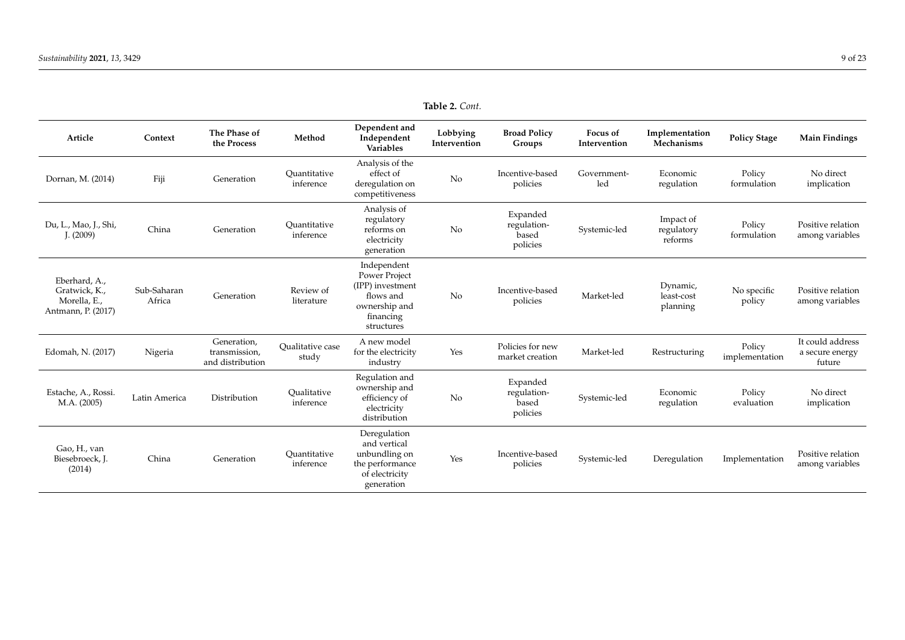| Article                                                              | Context               | The Phase of<br>the Process                      | Method                    | Dependent and<br>Independent<br>Variables                                                                 | Lobbying<br>Intervention | <b>Broad Policy</b><br>Groups                | Focus of<br>Intervention | Implementation<br>Mechanisms       | <b>Policy Stage</b>      | <b>Main Findings</b>                          |
|----------------------------------------------------------------------|-----------------------|--------------------------------------------------|---------------------------|-----------------------------------------------------------------------------------------------------------|--------------------------|----------------------------------------------|--------------------------|------------------------------------|--------------------------|-----------------------------------------------|
| Dornan, M. (2014)                                                    | Fiji                  | Generation                                       | Ouantitative<br>inference | Analysis of the<br>effect of<br>deregulation on<br>competitiveness                                        | No                       | Incentive-based<br>policies                  | Government-<br>led       | Economic<br>regulation             | Policy<br>formulation    | No direct<br>implication                      |
| Du, L., Mao, J., Shi,<br>I. (2009)                                   | China                 | Generation                                       | Ouantitative<br>inference | Analysis of<br>regulatory<br>reforms on<br>electricity<br>generation                                      | No                       | Expanded<br>regulation-<br>based<br>policies | Systemic-led             | Impact of<br>regulatory<br>reforms | Policy<br>formulation    | Positive relation<br>among variables          |
| Eberhard, A.,<br>Gratwick, K.,<br>Morella, E.,<br>Antmann, P. (2017) | Sub-Saharan<br>Africa | Generation                                       | Review of<br>literature   | Independent<br>Power Project<br>(IPP) investment<br>flows and<br>ownership and<br>financing<br>structures | N <sub>o</sub>           | Incentive-based<br>policies                  | Market-led               | Dynamic,<br>least-cost<br>planning | No specific<br>policy    | Positive relation<br>among variables          |
| Edomah, N. (2017)                                                    | Nigeria               | Generation,<br>transmission,<br>and distribution | Qualitative case<br>study | A new model<br>for the electricity<br>industry                                                            | Yes                      | Policies for new<br>market creation          | Market-led               | Restructuring                      | Policy<br>implementation | It could address<br>a secure energy<br>future |
| Estache, A., Rossi.<br>M.A. (2005)                                   | Latin America         | Distribution                                     | Qualitative<br>inference  | Regulation and<br>ownership and<br>efficiency of<br>electricity<br>distribution                           | No                       | Expanded<br>regulation-<br>based<br>policies | Systemic-led             | Economic<br>regulation             | Policy<br>evaluation     | No direct<br>implication                      |
| Gao, H., van<br>Biesebroeck, J.<br>(2014)                            | China                 | Generation                                       | Ouantitative<br>inference | Deregulation<br>and vertical<br>unbundling on<br>the performance<br>of electricity<br>generation          | Yes                      | Incentive-based<br>policies                  | Systemic-led             | Deregulation                       | Implementation           | Positive relation<br>among variables          |

**Table 2.** *Cont.*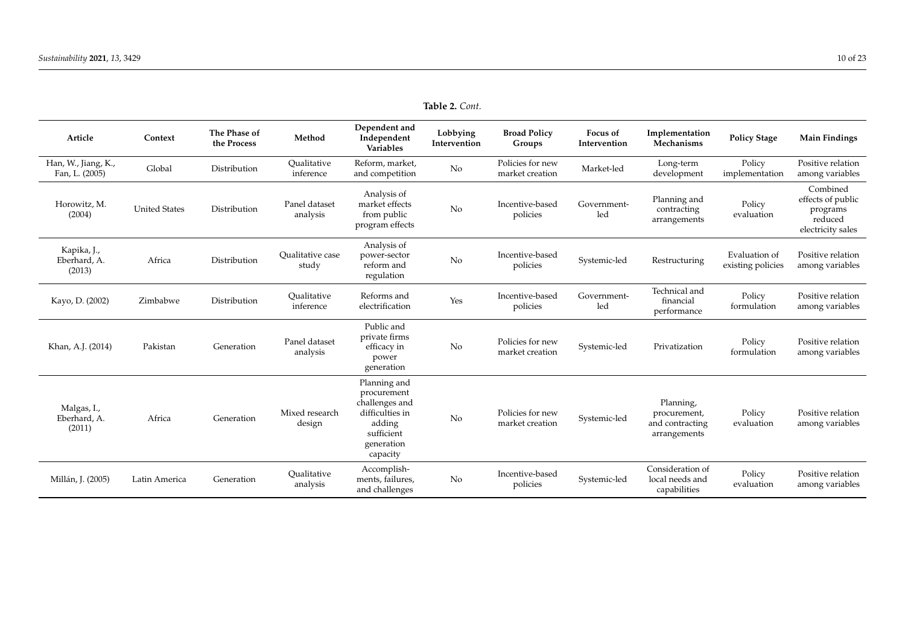| Article                               | Context              | The Phase of<br>the Process | Method                           | Dependent and<br>Independent<br>Variables                                                                          | Lobbying<br>Intervention | <b>Broad Policy</b><br>Groups       | Focus of<br>Intervention | Implementation<br>Mechanisms                                 | <b>Policy Stage</b>                | <b>Main Findings</b>                                                      |
|---------------------------------------|----------------------|-----------------------------|----------------------------------|--------------------------------------------------------------------------------------------------------------------|--------------------------|-------------------------------------|--------------------------|--------------------------------------------------------------|------------------------------------|---------------------------------------------------------------------------|
| Han, W., Jiang, K.,<br>Fan, L. (2005) | Global               | Distribution                | Oualitative<br>inference         | Reform, market,<br>and competition                                                                                 | No                       | Policies for new<br>market creation | Market-led               | Long-term<br>development                                     | Policy<br>implementation           | Positive relation<br>among variables                                      |
| Horowitz, M.<br>(2004)                | <b>United States</b> | Distribution                | Panel dataset<br>analysis        | Analysis of<br>market effects<br>from public<br>program effects                                                    | No                       | Incentive-based<br>policies         | Government-<br>led       | Planning and<br>contracting<br>arrangements                  | Policy<br>evaluation               | Combined<br>effects of public<br>programs<br>reduced<br>electricity sales |
| Kapika, J.,<br>Eberhard, A.<br>(2013) | Africa               | Distribution                | <b>Oualitative</b> case<br>study | Analysis of<br>power-sector<br>reform and<br>regulation                                                            | No                       | Incentive-based<br>policies         | Systemic-led             | Restructuring                                                | Evaluation of<br>existing policies | Positive relation<br>among variables                                      |
| Kayo, D. (2002)                       | Zimbabwe             | Distribution                | Oualitative<br>inference         | Reforms and<br>electrification                                                                                     | Yes                      | Incentive-based<br>policies         | Government-<br>led       | Technical and<br>financial<br>performance                    | Policy<br>formulation              | Positive relation<br>among variables                                      |
| Khan, A.J. (2014)                     | Pakistan             | Generation                  | Panel dataset<br>analysis        | Public and<br>private firms<br>efficacy in<br>power<br>generation                                                  | No                       | Policies for new<br>market creation | Systemic-led             | Privatization                                                | Policy<br>formulation              | Positive relation<br>among variables                                      |
| Malgas, I.,<br>Eberhard, A.<br>(2011) | Africa               | Generation                  | Mixed research<br>design         | Planning and<br>procurement<br>challenges and<br>difficulties in<br>adding<br>sufficient<br>generation<br>capacity | No                       | Policies for new<br>market creation | Systemic-led             | Planning,<br>procurement,<br>and contracting<br>arrangements | Policy<br>evaluation               | Positive relation<br>among variables                                      |
| Millán, J. (2005)                     | Latin America        | Generation                  | Qualitative<br>analysis          | Accomplish-<br>ments, failures,<br>and challenges                                                                  | No                       | Incentive-based<br>policies         | Systemic-led             | Consideration of<br>local needs and<br>capabilities          | Policy<br>evaluation               | Positive relation<br>among variables                                      |

**Table 2.** *Cont.*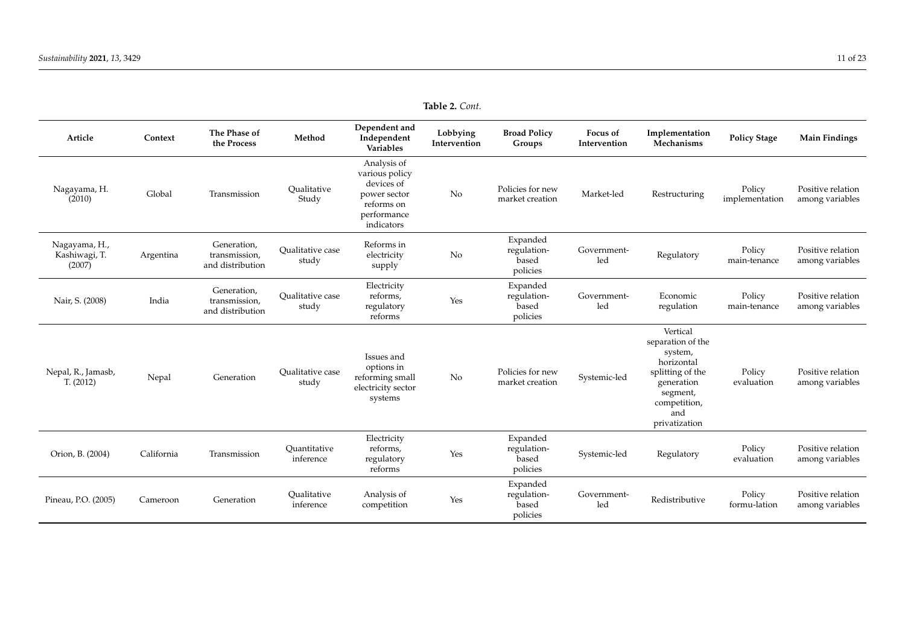| Article                                  | Context    | The Phase of<br>the Process                      | Method                           | Dependent and<br>Independent<br>Variables                                                              | Lobbying<br>Intervention | <b>Broad Policy</b><br>Groups                | <b>Focus of</b><br>Intervention | Implementation<br>Mechanisms                                                                                                                 | <b>Policy Stage</b>      | <b>Main Findings</b>                 |
|------------------------------------------|------------|--------------------------------------------------|----------------------------------|--------------------------------------------------------------------------------------------------------|--------------------------|----------------------------------------------|---------------------------------|----------------------------------------------------------------------------------------------------------------------------------------------|--------------------------|--------------------------------------|
| Nagayama, H.<br>(2010)                   | Global     | Transmission                                     | Qualitative<br>Study             | Analysis of<br>various policy<br>devices of<br>power sector<br>reforms on<br>performance<br>indicators | No                       | Policies for new<br>market creation          | Market-led                      | Restructuring                                                                                                                                | Policy<br>implementation | Positive relation<br>among variables |
| Nagayama, H.,<br>Kashiwagi, T.<br>(2007) | Argentina  | Generation,<br>transmission,<br>and distribution | <b>Oualitative</b> case<br>study | Reforms in<br>electricity<br>supply                                                                    | No                       | Expanded<br>regulation-<br>based<br>policies | Government-<br>led              | Regulatory                                                                                                                                   | Policy<br>main-tenance   | Positive relation<br>among variables |
| Nair, S. (2008)                          | India      | Generation,<br>transmission,<br>and distribution | <b>Oualitative</b> case<br>study | Electricity<br>reforms,<br>regulatory<br>reforms                                                       | Yes                      | Expanded<br>regulation-<br>based<br>policies | Government-<br>led              | Economic<br>regulation                                                                                                                       | Policy<br>main-tenance   | Positive relation<br>among variables |
| Nepal, R., Jamasb,<br>T. (2012)          | Nepal      | Generation                                       | <b>Oualitative</b> case<br>study | Issues and<br>options in<br>reforming small<br>electricity sector<br>systems                           | No                       | Policies for new<br>market creation          | Systemic-led                    | Vertical<br>separation of the<br>system,<br>horizontal<br>splitting of the<br>generation<br>segment,<br>competition,<br>and<br>privatization | Policy<br>evaluation     | Positive relation<br>among variables |
| Orion, B. (2004)                         | California | Transmission                                     | Ouantitative<br>inference        | Electricity<br>reforms,<br>regulatory<br>reforms                                                       | Yes                      | Expanded<br>regulation-<br>based<br>policies | Systemic-led                    | Regulatory                                                                                                                                   | Policy<br>evaluation     | Positive relation<br>among variables |
| Pineau, P.O. (2005)                      | Cameroon   | Generation                                       | Oualitative<br>inference         | Analysis of<br>competition                                                                             | Yes                      | Expanded<br>regulation-<br>based<br>policies | Government-<br>led              | Redistributive                                                                                                                               | Policy<br>formu-lation   | Positive relation<br>among variables |

**Table 2.** *Cont.*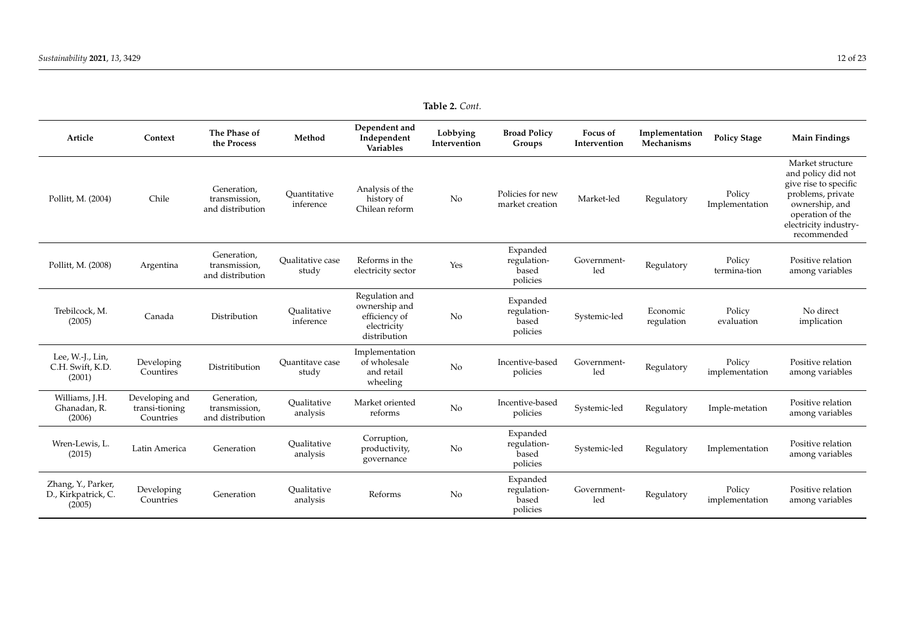<span id="page-11-0"></span>

| Article                                             | Context                                       | The Phase of<br>the Process                      | Method                           | Dependent and<br>Independent<br>Variables                                       | Lobbying<br>Intervention | <b>Broad Policy</b><br>Groups                | Focus of<br>Intervention | Implementation<br>Mechanisms | <b>Policy Stage</b>      | <b>Main Findings</b>                                                                                                                                               |
|-----------------------------------------------------|-----------------------------------------------|--------------------------------------------------|----------------------------------|---------------------------------------------------------------------------------|--------------------------|----------------------------------------------|--------------------------|------------------------------|--------------------------|--------------------------------------------------------------------------------------------------------------------------------------------------------------------|
| Pollitt, M. (2004)                                  | Chile                                         | Generation,<br>transmission,<br>and distribution | Ouantitative<br>inference        | Analysis of the<br>history of<br>Chilean reform                                 | No                       | Policies for new<br>market creation          | Market-led               | Regulatory                   | Policy<br>Implementation | Market structure<br>and policy did not<br>give rise to specific<br>problems, private<br>ownership, and<br>operation of the<br>electricity industry-<br>recommended |
| Pollitt, M. (2008)                                  | Argentina                                     | Generation,<br>transmission.<br>and distribution | <b>Oualitative</b> case<br>study | Reforms in the<br>electricity sector                                            | Yes                      | Expanded<br>regulation-<br>based<br>policies | Government-<br>led       | Regulatory                   | Policy<br>termina-tion   | Positive relation<br>among variables                                                                                                                               |
| Trebilcock, M.<br>(2005)                            | Canada                                        | Distribution                                     | Oualitative<br>inference         | Regulation and<br>ownership and<br>efficiency of<br>electricity<br>distribution | No                       | Expanded<br>regulation-<br>based<br>policies | Systemic-led             | Economic<br>regulation       | Policy<br>evaluation     | No direct<br>implication                                                                                                                                           |
| Lee, W.-J., Lin,<br>C.H. Swift, K.D.<br>(2001)      | Developing<br>Countires                       | Distritibution                                   | Ouantitave case<br>study         | Implementation<br>of wholesale<br>and retail<br>wheeling                        | No                       | Incentive-based<br>policies                  | Government-<br>led       | Regulatory                   | Policy<br>implementation | Positive relation<br>among variables                                                                                                                               |
| Williams, J.H.<br>Ghanadan, R.<br>(2006)            | Developing and<br>transi-tioning<br>Countries | Generation,<br>transmission,<br>and distribution | Oualitative<br>analysis          | Market oriented<br>reforms                                                      | No                       | Incentive-based<br>policies                  | Systemic-led             | Regulatory                   | Imple-metation           | Positive relation<br>among variables                                                                                                                               |
| Wren-Lewis, L.<br>(2015)                            | Latin America                                 | Generation                                       | Oualitative<br>analysis          | Corruption,<br>productivity,<br>governance                                      | No                       | Expanded<br>regulation-<br>based<br>policies | Systemic-led             | Regulatory                   | Implementation           | Positive relation<br>among variables                                                                                                                               |
| Zhang, Y., Parker,<br>D., Kirkpatrick, C.<br>(2005) | Developing<br>Countries                       | Generation                                       | Oualitative<br>analysis          | Reforms                                                                         | No                       | Expanded<br>regulation-<br>based<br>policies | Government-<br>led       | Regulatory                   | Policy<br>implementation | Positive relation<br>among variables                                                                                                                               |

**Table 2.** *Cont.*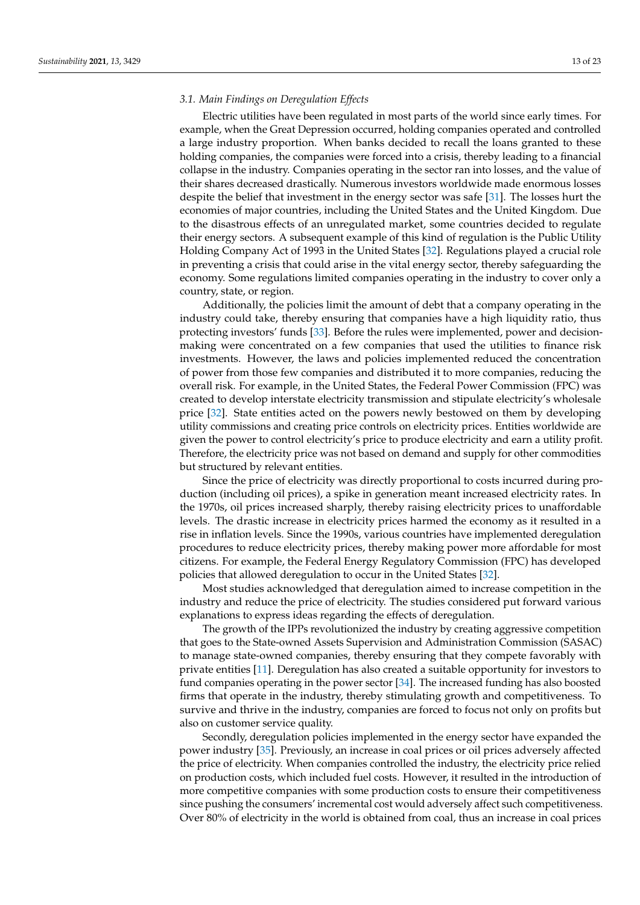# *3.1. Main Findings on Deregulation Effects*

Electric utilities have been regulated in most parts of the world since early times. For example, when the Great Depression occurred, holding companies operated and controlled a large industry proportion. When banks decided to recall the loans granted to these holding companies, the companies were forced into a crisis, thereby leading to a financial collapse in the industry. Companies operating in the sector ran into losses, and the value of their shares decreased drastically. Numerous investors worldwide made enormous losses despite the belief that investment in the energy sector was safe [\[31\]](#page-21-13). The losses hurt the economies of major countries, including the United States and the United Kingdom. Due to the disastrous effects of an unregulated market, some countries decided to regulate their energy sectors. A subsequent example of this kind of regulation is the Public Utility Holding Company Act of 1993 in the United States [\[32\]](#page-21-14). Regulations played a crucial role in preventing a crisis that could arise in the vital energy sector, thereby safeguarding the economy. Some regulations limited companies operating in the industry to cover only a country, state, or region.

Additionally, the policies limit the amount of debt that a company operating in the industry could take, thereby ensuring that companies have a high liquidity ratio, thus protecting investors' funds [\[33\]](#page-21-15). Before the rules were implemented, power and decisionmaking were concentrated on a few companies that used the utilities to finance risk investments. However, the laws and policies implemented reduced the concentration of power from those few companies and distributed it to more companies, reducing the overall risk. For example, in the United States, the Federal Power Commission (FPC) was created to develop interstate electricity transmission and stipulate electricity's wholesale price [\[32\]](#page-21-14). State entities acted on the powers newly bestowed on them by developing utility commissions and creating price controls on electricity prices. Entities worldwide are given the power to control electricity's price to produce electricity and earn a utility profit. Therefore, the electricity price was not based on demand and supply for other commodities but structured by relevant entities.

Since the price of electricity was directly proportional to costs incurred during production (including oil prices), a spike in generation meant increased electricity rates. In the 1970s, oil prices increased sharply, thereby raising electricity prices to unaffordable levels. The drastic increase in electricity prices harmed the economy as it resulted in a rise in inflation levels. Since the 1990s, various countries have implemented deregulation procedures to reduce electricity prices, thereby making power more affordable for most citizens. For example, the Federal Energy Regulatory Commission (FPC) has developed policies that allowed deregulation to occur in the United States [\[32\]](#page-21-14).

Most studies acknowledged that deregulation aimed to increase competition in the industry and reduce the price of electricity. The studies considered put forward various explanations to express ideas regarding the effects of deregulation.

The growth of the IPPs revolutionized the industry by creating aggressive competition that goes to the State-owned Assets Supervision and Administration Commission (SASAC) to manage state-owned companies, thereby ensuring that they compete favorably with private entities [\[11\]](#page-20-16). Deregulation has also created a suitable opportunity for investors to fund companies operating in the power sector [\[34\]](#page-21-16). The increased funding has also boosted firms that operate in the industry, thereby stimulating growth and competitiveness. To survive and thrive in the industry, companies are forced to focus not only on profits but also on customer service quality.

Secondly, deregulation policies implemented in the energy sector have expanded the power industry [\[35\]](#page-21-17). Previously, an increase in coal prices or oil prices adversely affected the price of electricity. When companies controlled the industry, the electricity price relied on production costs, which included fuel costs. However, it resulted in the introduction of more competitive companies with some production costs to ensure their competitiveness since pushing the consumers' incremental cost would adversely affect such competitiveness. Over 80% of electricity in the world is obtained from coal, thus an increase in coal prices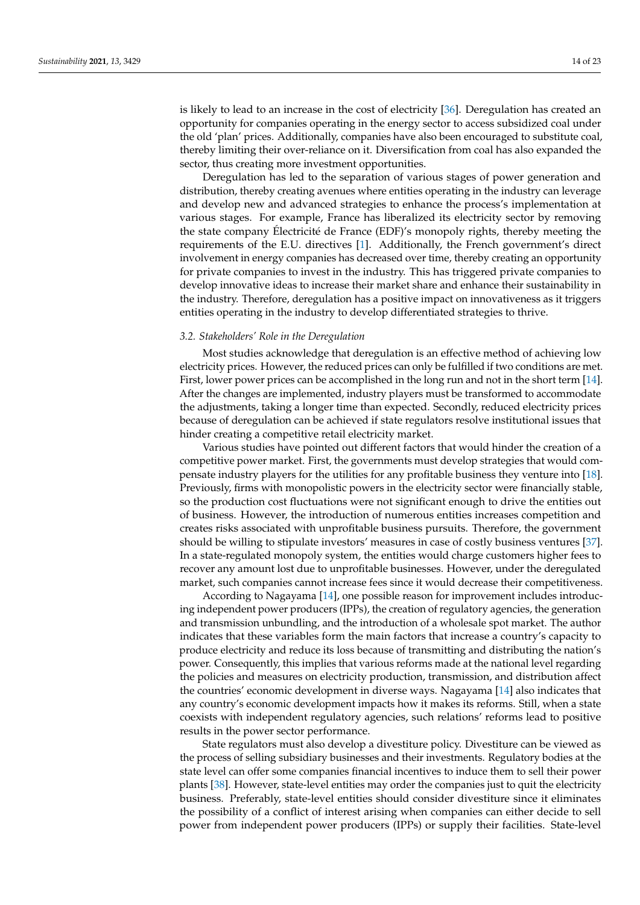is likely to lead to an increase in the cost of electricity [\[36\]](#page-21-18). Deregulation has created an opportunity for companies operating in the energy sector to access subsidized coal under the old 'plan' prices. Additionally, companies have also been encouraged to substitute coal, thereby limiting their over-reliance on it. Diversification from coal has also expanded the sector, thus creating more investment opportunities.

Deregulation has led to the separation of various stages of power generation and distribution, thereby creating avenues where entities operating in the industry can leverage and develop new and advanced strategies to enhance the process's implementation at various stages. For example, France has liberalized its electricity sector by removing the state company Électricité de France (EDF)'s monopoly rights, thereby meeting the requirements of the E.U. directives [\[1\]](#page-20-0). Additionally, the French government's direct involvement in energy companies has decreased over time, thereby creating an opportunity for private companies to invest in the industry. This has triggered private companies to develop innovative ideas to increase their market share and enhance their sustainability in the industry. Therefore, deregulation has a positive impact on innovativeness as it triggers entities operating in the industry to develop differentiated strategies to thrive.

#### *3.2. Stakeholders' Role in the Deregulation*

Most studies acknowledge that deregulation is an effective method of achieving low electricity prices. However, the reduced prices can only be fulfilled if two conditions are met. First, lower power prices can be accomplished in the long run and not in the short term [\[14\]](#page-20-12). After the changes are implemented, industry players must be transformed to accommodate the adjustments, taking a longer time than expected. Secondly, reduced electricity prices because of deregulation can be achieved if state regulators resolve institutional issues that hinder creating a competitive retail electricity market.

Various studies have pointed out different factors that would hinder the creation of a competitive power market. First, the governments must develop strategies that would compensate industry players for the utilities for any profitable business they venture into [\[18\]](#page-21-0). Previously, firms with monopolistic powers in the electricity sector were financially stable, so the production cost fluctuations were not significant enough to drive the entities out of business. However, the introduction of numerous entities increases competition and creates risks associated with unprofitable business pursuits. Therefore, the government should be willing to stipulate investors' measures in case of costly business ventures [\[37\]](#page-21-19). In a state-regulated monopoly system, the entities would charge customers higher fees to recover any amount lost due to unprofitable businesses. However, under the deregulated market, such companies cannot increase fees since it would decrease their competitiveness.

According to Nagayama [\[14\]](#page-20-12), one possible reason for improvement includes introducing independent power producers (IPPs), the creation of regulatory agencies, the generation and transmission unbundling, and the introduction of a wholesale spot market. The author indicates that these variables form the main factors that increase a country's capacity to produce electricity and reduce its loss because of transmitting and distributing the nation's power. Consequently, this implies that various reforms made at the national level regarding the policies and measures on electricity production, transmission, and distribution affect the countries' economic development in diverse ways. Nagayama [\[14\]](#page-20-12) also indicates that any country's economic development impacts how it makes its reforms. Still, when a state coexists with independent regulatory agencies, such relations' reforms lead to positive results in the power sector performance.

State regulators must also develop a divestiture policy. Divestiture can be viewed as the process of selling subsidiary businesses and their investments. Regulatory bodies at the state level can offer some companies financial incentives to induce them to sell their power plants [\[38\]](#page-21-20). However, state-level entities may order the companies just to quit the electricity business. Preferably, state-level entities should consider divestiture since it eliminates the possibility of a conflict of interest arising when companies can either decide to sell power from independent power producers (IPPs) or supply their facilities. State-level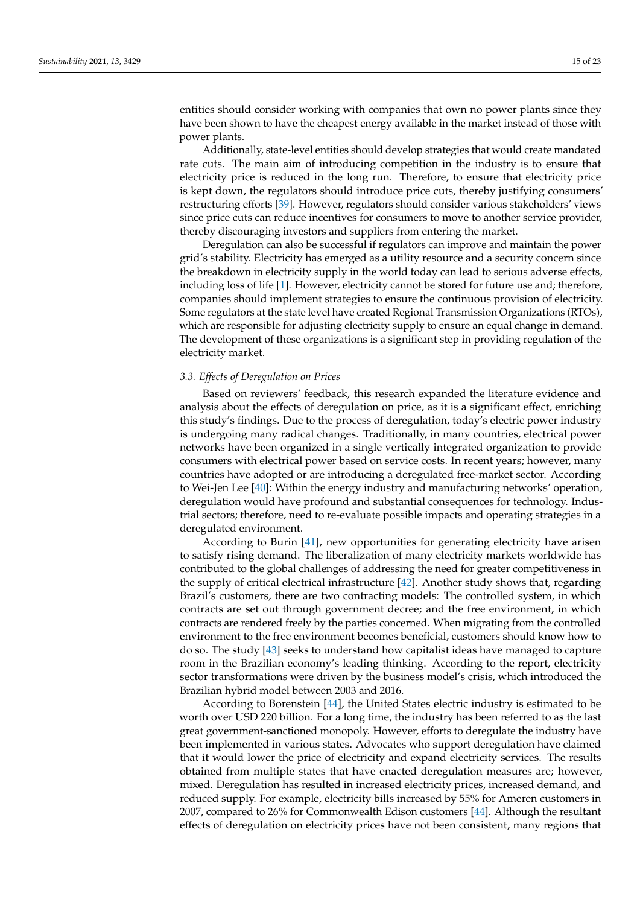entities should consider working with companies that own no power plants since they have been shown to have the cheapest energy available in the market instead of those with power plants.

Additionally, state-level entities should develop strategies that would create mandated rate cuts. The main aim of introducing competition in the industry is to ensure that electricity price is reduced in the long run. Therefore, to ensure that electricity price is kept down, the regulators should introduce price cuts, thereby justifying consumers' restructuring efforts [\[39\]](#page-21-21). However, regulators should consider various stakeholders' views since price cuts can reduce incentives for consumers to move to another service provider, thereby discouraging investors and suppliers from entering the market.

Deregulation can also be successful if regulators can improve and maintain the power grid's stability. Electricity has emerged as a utility resource and a security concern since the breakdown in electricity supply in the world today can lead to serious adverse effects, including loss of life [\[1\]](#page-20-0). However, electricity cannot be stored for future use and; therefore, companies should implement strategies to ensure the continuous provision of electricity. Some regulators at the state level have created Regional Transmission Organizations (RTOs), which are responsible for adjusting electricity supply to ensure an equal change in demand. The development of these organizations is a significant step in providing regulation of the electricity market.

#### *3.3. Effects of Deregulation on Prices*

Based on reviewers' feedback, this research expanded the literature evidence and analysis about the effects of deregulation on price, as it is a significant effect, enriching this study's findings. Due to the process of deregulation, today's electric power industry is undergoing many radical changes. Traditionally, in many countries, electrical power networks have been organized in a single vertically integrated organization to provide consumers with electrical power based on service costs. In recent years; however, many countries have adopted or are introducing a deregulated free-market sector. According to Wei-Jen Lee [\[40\]](#page-21-22): Within the energy industry and manufacturing networks' operation, deregulation would have profound and substantial consequences for technology. Industrial sectors; therefore, need to re-evaluate possible impacts and operating strategies in a deregulated environment.

According to Burin [\[41\]](#page-21-23), new opportunities for generating electricity have arisen to satisfy rising demand. The liberalization of many electricity markets worldwide has contributed to the global challenges of addressing the need for greater competitiveness in the supply of critical electrical infrastructure [\[42\]](#page-21-24). Another study shows that, regarding Brazil's customers, there are two contracting models: The controlled system, in which contracts are set out through government decree; and the free environment, in which contracts are rendered freely by the parties concerned. When migrating from the controlled environment to the free environment becomes beneficial, customers should know how to do so. The study [\[43\]](#page-21-25) seeks to understand how capitalist ideas have managed to capture room in the Brazilian economy's leading thinking. According to the report, electricity sector transformations were driven by the business model's crisis, which introduced the Brazilian hybrid model between 2003 and 2016.

According to Borenstein [\[44\]](#page-21-26), the United States electric industry is estimated to be worth over USD 220 billion. For a long time, the industry has been referred to as the last great government-sanctioned monopoly. However, efforts to deregulate the industry have been implemented in various states. Advocates who support deregulation have claimed that it would lower the price of electricity and expand electricity services. The results obtained from multiple states that have enacted deregulation measures are; however, mixed. Deregulation has resulted in increased electricity prices, increased demand, and reduced supply. For example, electricity bills increased by 55% for Ameren customers in 2007, compared to 26% for Commonwealth Edison customers [\[44\]](#page-21-26). Although the resultant effects of deregulation on electricity prices have not been consistent, many regions that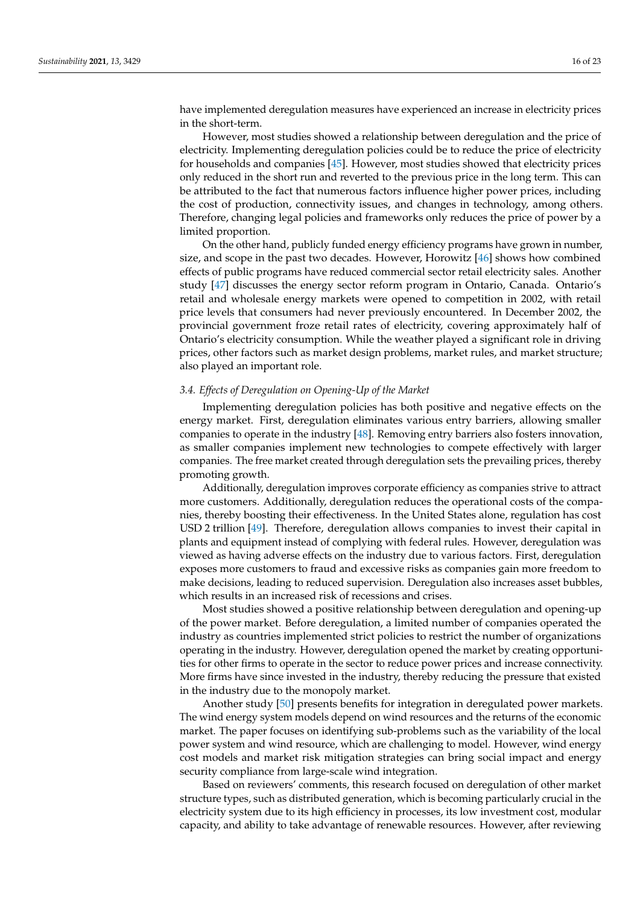have implemented deregulation measures have experienced an increase in electricity prices in the short-term.

However, most studies showed a relationship between deregulation and the price of electricity. Implementing deregulation policies could be to reduce the price of electricity for households and companies [\[45\]](#page-21-27). However, most studies showed that electricity prices only reduced in the short run and reverted to the previous price in the long term. This can be attributed to the fact that numerous factors influence higher power prices, including the cost of production, connectivity issues, and changes in technology, among others. Therefore, changing legal policies and frameworks only reduces the price of power by a limited proportion.

On the other hand, publicly funded energy efficiency programs have grown in number, size, and scope in the past two decades. However, Horowitz [\[46\]](#page-21-28) shows how combined effects of public programs have reduced commercial sector retail electricity sales. Another study [\[47\]](#page-21-29) discusses the energy sector reform program in Ontario, Canada. Ontario's retail and wholesale energy markets were opened to competition in 2002, with retail price levels that consumers had never previously encountered. In December 2002, the provincial government froze retail rates of electricity, covering approximately half of Ontario's electricity consumption. While the weather played a significant role in driving prices, other factors such as market design problems, market rules, and market structure; also played an important role.

#### *3.4. Effects of Deregulation on Opening-Up of the Market*

Implementing deregulation policies has both positive and negative effects on the energy market. First, deregulation eliminates various entry barriers, allowing smaller companies to operate in the industry [\[48\]](#page-21-30). Removing entry barriers also fosters innovation, as smaller companies implement new technologies to compete effectively with larger companies. The free market created through deregulation sets the prevailing prices, thereby promoting growth.

Additionally, deregulation improves corporate efficiency as companies strive to attract more customers. Additionally, deregulation reduces the operational costs of the companies, thereby boosting their effectiveness. In the United States alone, regulation has cost USD 2 trillion [\[49\]](#page-21-31). Therefore, deregulation allows companies to invest their capital in plants and equipment instead of complying with federal rules. However, deregulation was viewed as having adverse effects on the industry due to various factors. First, deregulation exposes more customers to fraud and excessive risks as companies gain more freedom to make decisions, leading to reduced supervision. Deregulation also increases asset bubbles, which results in an increased risk of recessions and crises.

Most studies showed a positive relationship between deregulation and opening-up of the power market. Before deregulation, a limited number of companies operated the industry as countries implemented strict policies to restrict the number of organizations operating in the industry. However, deregulation opened the market by creating opportunities for other firms to operate in the sector to reduce power prices and increase connectivity. More firms have since invested in the industry, thereby reducing the pressure that existed in the industry due to the monopoly market.

Another study [\[50\]](#page-21-32) presents benefits for integration in deregulated power markets. The wind energy system models depend on wind resources and the returns of the economic market. The paper focuses on identifying sub-problems such as the variability of the local power system and wind resource, which are challenging to model. However, wind energy cost models and market risk mitigation strategies can bring social impact and energy security compliance from large-scale wind integration.

Based on reviewers' comments, this research focused on deregulation of other market structure types, such as distributed generation, which is becoming particularly crucial in the electricity system due to its high efficiency in processes, its low investment cost, modular capacity, and ability to take advantage of renewable resources. However, after reviewing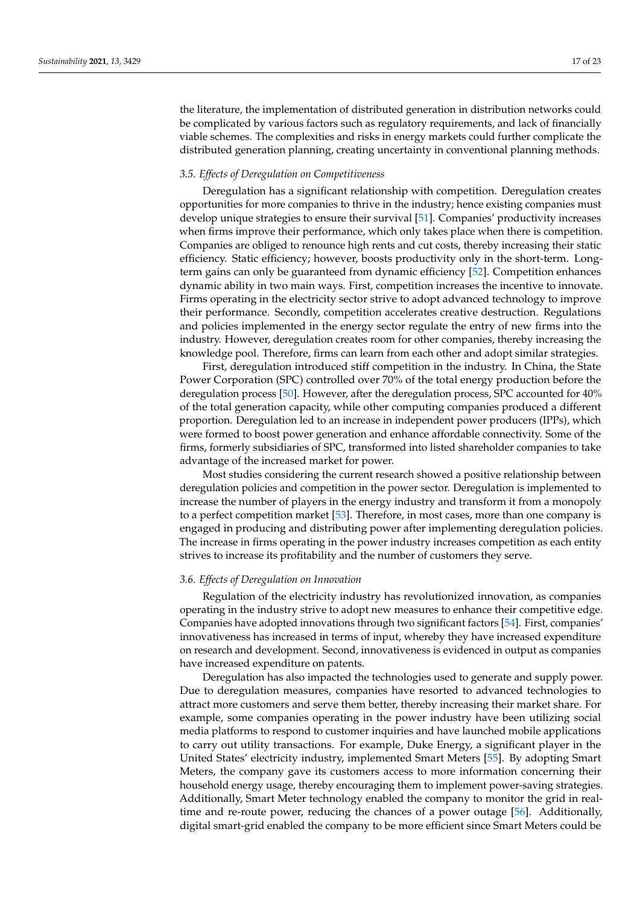the literature, the implementation of distributed generation in distribution networks could be complicated by various factors such as regulatory requirements, and lack of financially viable schemes. The complexities and risks in energy markets could further complicate the distributed generation planning, creating uncertainty in conventional planning methods.

#### *3.5. Effects of Deregulation on Competitiveness*

Deregulation has a significant relationship with competition. Deregulation creates opportunities for more companies to thrive in the industry; hence existing companies must develop unique strategies to ensure their survival [\[51\]](#page-22-0). Companies' productivity increases when firms improve their performance, which only takes place when there is competition. Companies are obliged to renounce high rents and cut costs, thereby increasing their static efficiency. Static efficiency; however, boosts productivity only in the short-term. Longterm gains can only be guaranteed from dynamic efficiency [\[52\]](#page-22-1). Competition enhances dynamic ability in two main ways. First, competition increases the incentive to innovate. Firms operating in the electricity sector strive to adopt advanced technology to improve their performance. Secondly, competition accelerates creative destruction. Regulations and policies implemented in the energy sector regulate the entry of new firms into the industry. However, deregulation creates room for other companies, thereby increasing the knowledge pool. Therefore, firms can learn from each other and adopt similar strategies.

First, deregulation introduced stiff competition in the industry. In China, the State Power Corporation (SPC) controlled over 70% of the total energy production before the deregulation process [\[50\]](#page-21-32). However, after the deregulation process, SPC accounted for 40% of the total generation capacity, while other computing companies produced a different proportion. Deregulation led to an increase in independent power producers (IPPs), which were formed to boost power generation and enhance affordable connectivity. Some of the firms, formerly subsidiaries of SPC, transformed into listed shareholder companies to take advantage of the increased market for power.

Most studies considering the current research showed a positive relationship between deregulation policies and competition in the power sector. Deregulation is implemented to increase the number of players in the energy industry and transform it from a monopoly to a perfect competition market [\[53\]](#page-22-2). Therefore, in most cases, more than one company is engaged in producing and distributing power after implementing deregulation policies. The increase in firms operating in the power industry increases competition as each entity strives to increase its profitability and the number of customers they serve.

# *3.6. Effects of Deregulation on Innovation*

Regulation of the electricity industry has revolutionized innovation, as companies operating in the industry strive to adopt new measures to enhance their competitive edge. Companies have adopted innovations through two significant factors [\[54\]](#page-22-3). First, companies' innovativeness has increased in terms of input, whereby they have increased expenditure on research and development. Second, innovativeness is evidenced in output as companies have increased expenditure on patents.

Deregulation has also impacted the technologies used to generate and supply power. Due to deregulation measures, companies have resorted to advanced technologies to attract more customers and serve them better, thereby increasing their market share. For example, some companies operating in the power industry have been utilizing social media platforms to respond to customer inquiries and have launched mobile applications to carry out utility transactions. For example, Duke Energy, a significant player in the United States' electricity industry, implemented Smart Meters [\[55\]](#page-22-4). By adopting Smart Meters, the company gave its customers access to more information concerning their household energy usage, thereby encouraging them to implement power-saving strategies. Additionally, Smart Meter technology enabled the company to monitor the grid in realtime and re-route power, reducing the chances of a power outage [\[56\]](#page-22-5). Additionally, digital smart-grid enabled the company to be more efficient since Smart Meters could be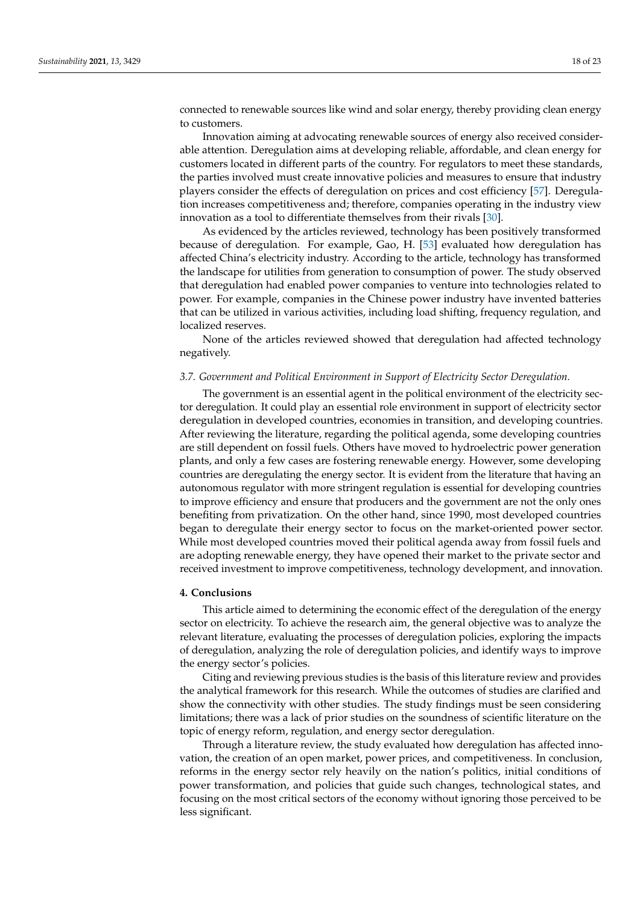connected to renewable sources like wind and solar energy, thereby providing clean energy to customers.

Innovation aiming at advocating renewable sources of energy also received considerable attention. Deregulation aims at developing reliable, affordable, and clean energy for customers located in different parts of the country. For regulators to meet these standards, the parties involved must create innovative policies and measures to ensure that industry players consider the effects of deregulation on prices and cost efficiency [\[57\]](#page-22-6). Deregulation increases competitiveness and; therefore, companies operating in the industry view innovation as a tool to differentiate themselves from their rivals [\[30\]](#page-21-12).

As evidenced by the articles reviewed, technology has been positively transformed because of deregulation. For example, Gao, H. [\[53\]](#page-22-2) evaluated how deregulation has affected China's electricity industry. According to the article, technology has transformed the landscape for utilities from generation to consumption of power. The study observed that deregulation had enabled power companies to venture into technologies related to power. For example, companies in the Chinese power industry have invented batteries that can be utilized in various activities, including load shifting, frequency regulation, and localized reserves.

None of the articles reviewed showed that deregulation had affected technology negatively.

### *3.7. Government and Political Environment in Support of Electricity Sector Deregulation.*

The government is an essential agent in the political environment of the electricity sector deregulation. It could play an essential role environment in support of electricity sector deregulation in developed countries, economies in transition, and developing countries. After reviewing the literature, regarding the political agenda, some developing countries are still dependent on fossil fuels. Others have moved to hydroelectric power generation plants, and only a few cases are fostering renewable energy. However, some developing countries are deregulating the energy sector. It is evident from the literature that having an autonomous regulator with more stringent regulation is essential for developing countries to improve efficiency and ensure that producers and the government are not the only ones benefiting from privatization. On the other hand, since 1990, most developed countries began to deregulate their energy sector to focus on the market-oriented power sector. While most developed countries moved their political agenda away from fossil fuels and are adopting renewable energy, they have opened their market to the private sector and received investment to improve competitiveness, technology development, and innovation.

#### <span id="page-17-0"></span>**4. Conclusions**

This article aimed to determining the economic effect of the deregulation of the energy sector on electricity. To achieve the research aim, the general objective was to analyze the relevant literature, evaluating the processes of deregulation policies, exploring the impacts of deregulation, analyzing the role of deregulation policies, and identify ways to improve the energy sector's policies.

Citing and reviewing previous studies is the basis of this literature review and provides the analytical framework for this research. While the outcomes of studies are clarified and show the connectivity with other studies. The study findings must be seen considering limitations; there was a lack of prior studies on the soundness of scientific literature on the topic of energy reform, regulation, and energy sector deregulation.

Through a literature review, the study evaluated how deregulation has affected innovation, the creation of an open market, power prices, and competitiveness. In conclusion, reforms in the energy sector rely heavily on the nation's politics, initial conditions of power transformation, and policies that guide such changes, technological states, and focusing on the most critical sectors of the economy without ignoring those perceived to be less significant.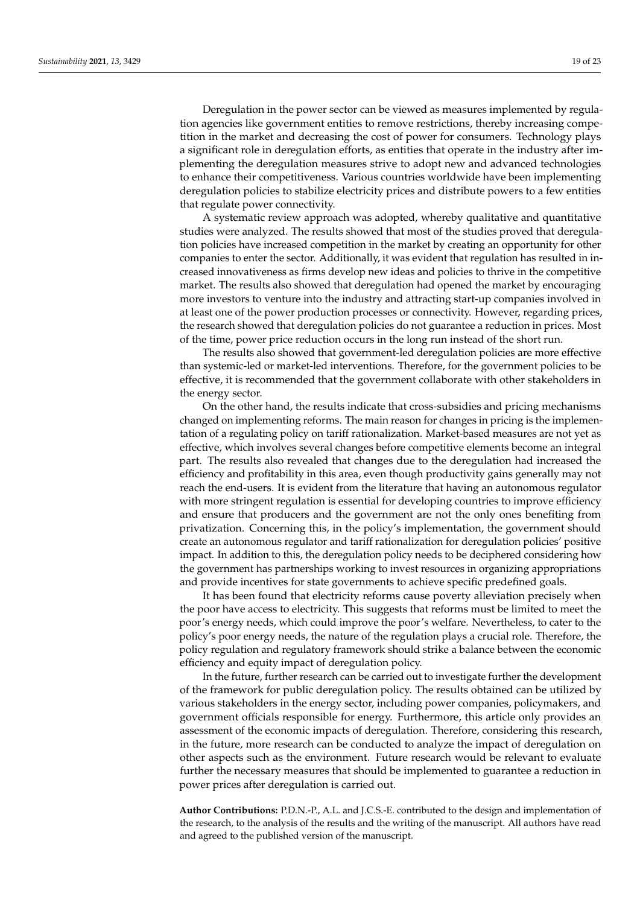Deregulation in the power sector can be viewed as measures implemented by regulation agencies like government entities to remove restrictions, thereby increasing competition in the market and decreasing the cost of power for consumers. Technology plays a significant role in deregulation efforts, as entities that operate in the industry after implementing the deregulation measures strive to adopt new and advanced technologies to enhance their competitiveness. Various countries worldwide have been implementing deregulation policies to stabilize electricity prices and distribute powers to a few entities that regulate power connectivity.

A systematic review approach was adopted, whereby qualitative and quantitative studies were analyzed. The results showed that most of the studies proved that deregulation policies have increased competition in the market by creating an opportunity for other companies to enter the sector. Additionally, it was evident that regulation has resulted in increased innovativeness as firms develop new ideas and policies to thrive in the competitive market. The results also showed that deregulation had opened the market by encouraging more investors to venture into the industry and attracting start-up companies involved in at least one of the power production processes or connectivity. However, regarding prices, the research showed that deregulation policies do not guarantee a reduction in prices. Most of the time, power price reduction occurs in the long run instead of the short run.

The results also showed that government-led deregulation policies are more effective than systemic-led or market-led interventions. Therefore, for the government policies to be effective, it is recommended that the government collaborate with other stakeholders in the energy sector.

On the other hand, the results indicate that cross-subsidies and pricing mechanisms changed on implementing reforms. The main reason for changes in pricing is the implementation of a regulating policy on tariff rationalization. Market-based measures are not yet as effective, which involves several changes before competitive elements become an integral part. The results also revealed that changes due to the deregulation had increased the efficiency and profitability in this area, even though productivity gains generally may not reach the end-users. It is evident from the literature that having an autonomous regulator with more stringent regulation is essential for developing countries to improve efficiency and ensure that producers and the government are not the only ones benefiting from privatization. Concerning this, in the policy's implementation, the government should create an autonomous regulator and tariff rationalization for deregulation policies' positive impact. In addition to this, the deregulation policy needs to be deciphered considering how the government has partnerships working to invest resources in organizing appropriations and provide incentives for state governments to achieve specific predefined goals.

It has been found that electricity reforms cause poverty alleviation precisely when the poor have access to electricity. This suggests that reforms must be limited to meet the poor's energy needs, which could improve the poor's welfare. Nevertheless, to cater to the policy's poor energy needs, the nature of the regulation plays a crucial role. Therefore, the policy regulation and regulatory framework should strike a balance between the economic efficiency and equity impact of deregulation policy.

In the future, further research can be carried out to investigate further the development of the framework for public deregulation policy. The results obtained can be utilized by various stakeholders in the energy sector, including power companies, policymakers, and government officials responsible for energy. Furthermore, this article only provides an assessment of the economic impacts of deregulation. Therefore, considering this research, in the future, more research can be conducted to analyze the impact of deregulation on other aspects such as the environment. Future research would be relevant to evaluate further the necessary measures that should be implemented to guarantee a reduction in power prices after deregulation is carried out.

**Author Contributions:** P.D.N.-P., A.L. and J.C.S.-E. contributed to the design and implementation of the research, to the analysis of the results and the writing of the manuscript. All authors have read and agreed to the published version of the manuscript.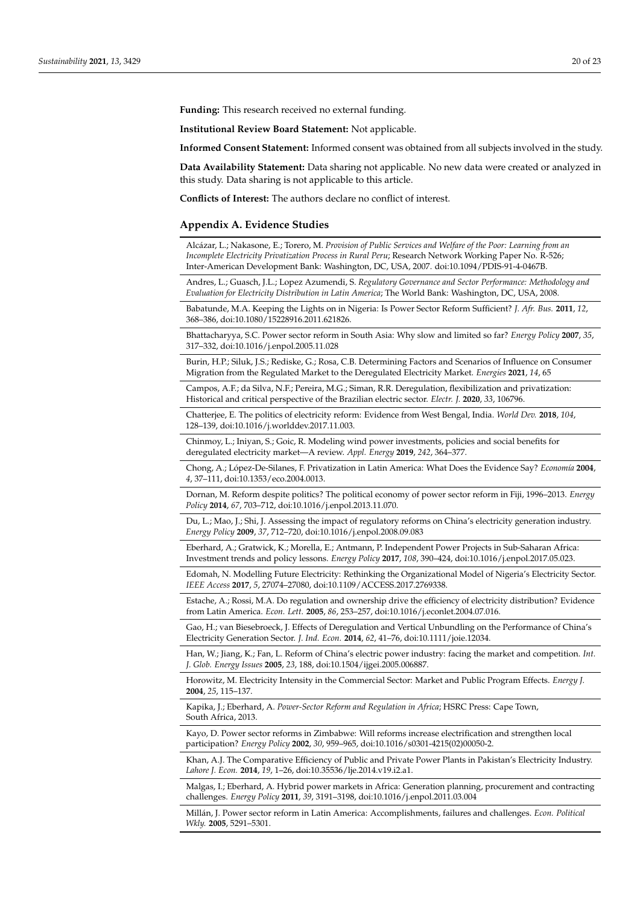**Funding:** This research received no external funding.

**Institutional Review Board Statement:** Not applicable.

**Informed Consent Statement:** Informed consent was obtained from all subjects involved in the study.

**Data Availability Statement:** Data sharing not applicable. No new data were created or analyzed in this study. Data sharing is not applicable to this article.

**Conflicts of Interest:** The authors declare no conflict of interest.

#### <span id="page-19-0"></span>**Appendix A. Evidence Studies**

Alcázar, L.; Nakasone, E.; Torero, M. *Provision of Public Services and Welfare of the Poor: Learning from an Incomplete Electricity Privatization Process in Rural Peru*; Research Network Working Paper No. R-526; Inter-American Development Bank: Washington, DC, USA, 2007. doi:10.1094/PDIS-91-4-0467B.

Andres, L.; Guasch, J.L.; Lopez Azumendi, S. *Regulatory Governance and Sector Performance: Methodology and Evaluation for Electricity Distribution in Latin America*; The World Bank: Washington, DC, USA, 2008.

Babatunde, M.A. Keeping the Lights on in Nigeria: Is Power Sector Reform Sufficient? *J. Afr. Bus.* **2011**, *12*, 368–386, doi:10.1080/15228916.2011.621826.

Bhattacharyya, S.C. Power sector reform in South Asia: Why slow and limited so far? *Energy Policy* **2007**, *35*, 317–332, doi:10.1016/j.enpol.2005.11.028

Burin, H.P.; Siluk, J.S.; Rediske, G.; Rosa, C.B. Determining Factors and Scenarios of Influence on Consumer Migration from the Regulated Market to the Deregulated Electricity Market. *Energies* **2021**, *14*, 65

Campos, A.F.; da Silva, N.F.; Pereira, M.G.; Siman, R.R. Deregulation, flexibilization and privatization: Historical and critical perspective of the Brazilian electric sector. *Electr. J.* **2020**, *33*, 106796.

Chatterjee, E. The politics of electricity reform: Evidence from West Bengal, India. *World Dev.* **2018**, *104*, 128–139, doi:10.1016/j.worlddev.2017.11.003.

Chinmoy, L.; Iniyan, S.; Goic, R. Modeling wind power investments, policies and social benefits for deregulated electricity market—A review. *Appl. Energy* **2019**, *242*, 364–377.

Chong, A.; López-De-Silanes, F. Privatization in Latin America: What Does the Evidence Say? *Economía* **2004**, *4*, 37–111, doi:10.1353/eco.2004.0013.

Dornan, M. Reform despite politics? The political economy of power sector reform in Fiji, 1996–2013. *Energy Policy* **2014**, *67*, 703–712, doi:10.1016/j.enpol.2013.11.070.

Du, L.; Mao, J.; Shi, J. Assessing the impact of regulatory reforms on China's electricity generation industry. *Energy Policy* **2009**, *37*, 712–720, doi:10.1016/j.enpol.2008.09.083

Eberhard, A.; Gratwick, K.; Morella, E.; Antmann, P. Independent Power Projects in Sub-Saharan Africa: Investment trends and policy lessons. *Energy Policy* **2017**, *108*, 390–424, doi:10.1016/j.enpol.2017.05.023.

Edomah, N. Modelling Future Electricity: Rethinking the Organizational Model of Nigeria's Electricity Sector. *IEEE Access* **2017**, *5*, 27074–27080, doi:10.1109/ACCESS.2017.2769338.

Estache, A.; Rossi, M.A. Do regulation and ownership drive the efficiency of electricity distribution? Evidence from Latin America. *Econ. Lett.* **2005**, *86*, 253–257, doi:10.1016/j.econlet.2004.07.016.

Gao, H.; van Biesebroeck, J. Effects of Deregulation and Vertical Unbundling on the Performance of China's Electricity Generation Sector. *J. Ind. Econ.* **2014**, *62*, 41–76, doi:10.1111/joie.12034.

Han, W.; Jiang, K.; Fan, L. Reform of China's electric power industry: facing the market and competition. *Int. J. Glob. Energy Issues* **2005**, *23*, 188, doi:10.1504/ijgei.2005.006887.

Horowitz, M. Electricity Intensity in the Commercial Sector: Market and Public Program Effects. *Energy J.* **2004**, *25*, 115–137.

Kapika, J.; Eberhard, A. *Power-Sector Reform and Regulation in Africa*; HSRC Press: Cape Town, South Africa, 2013.

Kayo, D. Power sector reforms in Zimbabwe: Will reforms increase electrification and strengthen local participation? *Energy Policy* **2002**, *30*, 959–965, doi:10.1016/s0301-4215(02)00050-2.

Khan, A.J. The Comparative Efficiency of Public and Private Power Plants in Pakistan's Electricity Industry. *Lahore J. Econ.* **2014**, *19*, 1–26, doi:10.35536/lje.2014.v19.i2.a1.

Malgas, I.; Eberhard, A. Hybrid power markets in Africa: Generation planning, procurement and contracting challenges. *Energy Policy* **2011**, *39*, 3191–3198, doi:10.1016/j.enpol.2011.03.004

Millán, J. Power sector reform in Latin America: Accomplishments, failures and challenges. *Econ. Political Wkly.* **2005**, 5291–5301.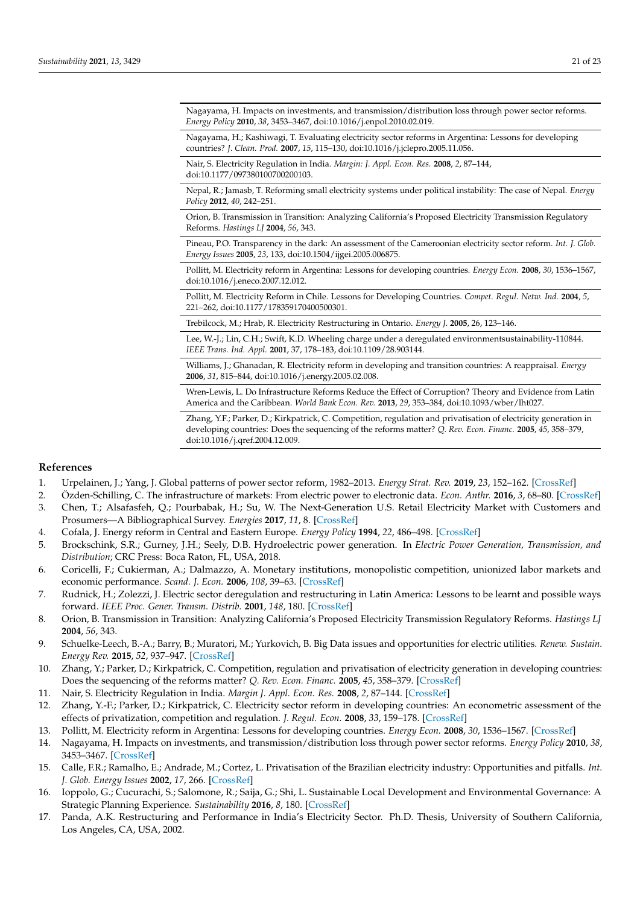Nagayama, H. Impacts on investments, and transmission/distribution loss through power sector reforms. *Energy Policy* **2010**, *38*, 3453–3467, doi:10.1016/j.enpol.2010.02.019.

Nagayama, H.; Kashiwagi, T. Evaluating electricity sector reforms in Argentina: Lessons for developing countries? *J. Clean. Prod.* **2007**, *15*, 115–130, doi:10.1016/j.jclepro.2005.11.056.

Nair, S. Electricity Regulation in India. *Margin: J. Appl. Econ. Res.* **2008**, *2*, 87–144, doi:10.1177/097380100700200103.

Nepal, R.; Jamasb, T. Reforming small electricity systems under political instability: The case of Nepal. *Energy Policy* **2012**, *40*, 242–251.

Orion, B. Transmission in Transition: Analyzing California's Proposed Electricity Transmission Regulatory Reforms. *Hastings LJ* **2004**, *56*, 343.

Pineau, P.O. Transparency in the dark: An assessment of the Cameroonian electricity sector reform. *Int. J. Glob. Energy Issues* **2005**, *23*, 133, doi:10.1504/ijgei.2005.006875.

Pollitt, M. Electricity reform in Argentina: Lessons for developing countries. *Energy Econ.* **2008**, *30*, 1536–1567, doi:10.1016/j.eneco.2007.12.012.

Pollitt, M. Electricity Reform in Chile. Lessons for Developing Countries. *Compet. Regul. Netw. Ind.* **2004**, *5*, 221–262, doi:10.1177/178359170400500301.

Trebilcock, M.; Hrab, R. Electricity Restructuring in Ontario. *Energy J.* **2005**, 26, 123–146.

Lee, W.-J.; Lin, C.H.; Swift, K.D. Wheeling charge under a deregulated environmentsustainability-110844. *IEEE Trans. Ind. Appl.* **2001**, 37, 178–183, doi:10.1109/28.903144.

Williams, J.; Ghanadan, R. Electricity reform in developing and transition countries: A reappraisal. *Energy* **2006**, *31*, 815–844, doi:10.1016/j.energy.2005.02.008.

Wren-Lewis, L. Do Infrastructure Reforms Reduce the Effect of Corruption? Theory and Evidence from Latin America and the Caribbean. *World Bank Econ. Rev.* **2013**, *29*, 353–384, doi:10.1093/wber/lht027.

Zhang, Y.F.; Parker, D.; Kirkpatrick, C. Competition, regulation and privatisation of electricity generation in developing countries: Does the sequencing of the reforms matter? *Q. Rev. Econ. Financ.* **2005**, *45*, 358–379, doi:10.1016/j.qref.2004.12.009.

# **References**

- <span id="page-20-0"></span>1. Urpelainen, J.; Yang, J. Global patterns of power sector reform, 1982–2013. *Energy Strat. Rev.* **2019**, *23*, 152–162. [\[CrossRef\]](http://doi.org/10.1016/j.esr.2018.12.001)
- <span id="page-20-1"></span>2. Özden-Schilling, C. The infrastructure of markets: From electric power to electronic data. *Econ. Anthr.* **2016**, *3*, 68–80. [\[CrossRef\]](http://doi.org/10.1002/sea2.12045)
- <span id="page-20-2"></span>3. Chen, T.; Alsafasfeh, Q.; Pourbabak, H.; Su, W. The Next-Generation U.S. Retail Electricity Market with Customers and Prosumers—A Bibliographical Survey. *Energies* **2017**, *11*, 8. [\[CrossRef\]](http://doi.org/10.3390/en11010008)
- <span id="page-20-3"></span>4. Cofala, J. Energy reform in Central and Eastern Europe. *Energy Policy* **1994**, *22*, 486–498. [\[CrossRef\]](http://doi.org/10.1016/0301-4215(94)90068-X)
- <span id="page-20-4"></span>5. Brockschink, S.R.; Gurney, J.H.; Seely, D.B. Hydroelectric power generation. In *Electric Power Generation, Transmission, and Distribution*; CRC Press: Boca Raton, FL, USA, 2018.
- <span id="page-20-5"></span>6. Coricelli, F.; Cukierman, A.; Dalmazzo, A. Monetary institutions, monopolistic competition, unionized labor markets and economic performance. *Scand. J. Econ.* **2006**, *108*, 39–63. [\[CrossRef\]](http://doi.org/10.1111/j.1467-9442.2006.00441.x)
- <span id="page-20-6"></span>7. Rudnick, H.; Zolezzi, J. Electric sector deregulation and restructuring in Latin America: Lessons to be learnt and possible ways forward. *IEEE Proc. Gener. Transm. Distrib.* **2001**, *148*, 180. [\[CrossRef\]](http://doi.org/10.1049/ip-gtd:20010230)
- <span id="page-20-7"></span>8. Orion, B. Transmission in Transition: Analyzing California's Proposed Electricity Transmission Regulatory Reforms. *Hastings LJ* **2004**, *56*, 343.
- <span id="page-20-8"></span>9. Schuelke-Leech, B.-A.; Barry, B.; Muratori, M.; Yurkovich, B. Big Data issues and opportunities for electric utilities. *Renew. Sustain. Energy Rev.* **2015**, *52*, 937–947. [\[CrossRef\]](http://doi.org/10.1016/j.rser.2015.07.128)
- <span id="page-20-9"></span>10. Zhang, Y.; Parker, D.; Kirkpatrick, C. Competition, regulation and privatisation of electricity generation in developing countries: Does the sequencing of the reforms matter? *Q. Rev. Econ. Financ.* **2005**, *45*, 358–379. [\[CrossRef\]](http://doi.org/10.1016/j.qref.2004.12.009)
- <span id="page-20-16"></span>11. Nair, S. Electricity Regulation in India. *Margin J. Appl. Econ. Res.* **2008**, *2*, 87–144. [\[CrossRef\]](http://doi.org/10.1177/097380100700200103)
- <span id="page-20-10"></span>12. Zhang, Y.-F.; Parker, D.; Kirkpatrick, C. Electricity sector reform in developing countries: An econometric assessment of the effects of privatization, competition and regulation. *J. Regul. Econ.* **2008**, *33*, 159–178. [\[CrossRef\]](http://doi.org/10.1007/s11149-007-9039-7)
- <span id="page-20-11"></span>13. Pollitt, M. Electricity reform in Argentina: Lessons for developing countries. *Energy Econ.* **2008**, *30*, 1536–1567. [\[CrossRef\]](http://doi.org/10.1016/j.eneco.2007.12.012)
- <span id="page-20-12"></span>14. Nagayama, H. Impacts on investments, and transmission/distribution loss through power sector reforms. *Energy Policy* **2010**, *38*, 3453–3467. [\[CrossRef\]](http://doi.org/10.1016/j.enpol.2010.02.019)
- <span id="page-20-13"></span>15. Calle, F.R.; Ramalho, E.; Andrade, M.; Cortez, L. Privatisation of the Brazilian electricity industry: Opportunities and pitfalls. *Int. J. Glob. Energy Issues* **2002**, *17*, 266. [\[CrossRef\]](http://doi.org/10.1504/IJGEI.2002.000944)
- <span id="page-20-14"></span>16. Ioppolo, G.; Cucurachi, S.; Salomone, R.; Saija, G.; Shi, L. Sustainable Local Development and Environmental Governance: A Strategic Planning Experience. *Sustainability* **2016**, *8*, 180. [\[CrossRef\]](http://doi.org/10.3390/su8020180)
- <span id="page-20-15"></span>17. Panda, A.K. Restructuring and Performance in India's Electricity Sector. Ph.D. Thesis, University of Southern California, Los Angeles, CA, USA, 2002.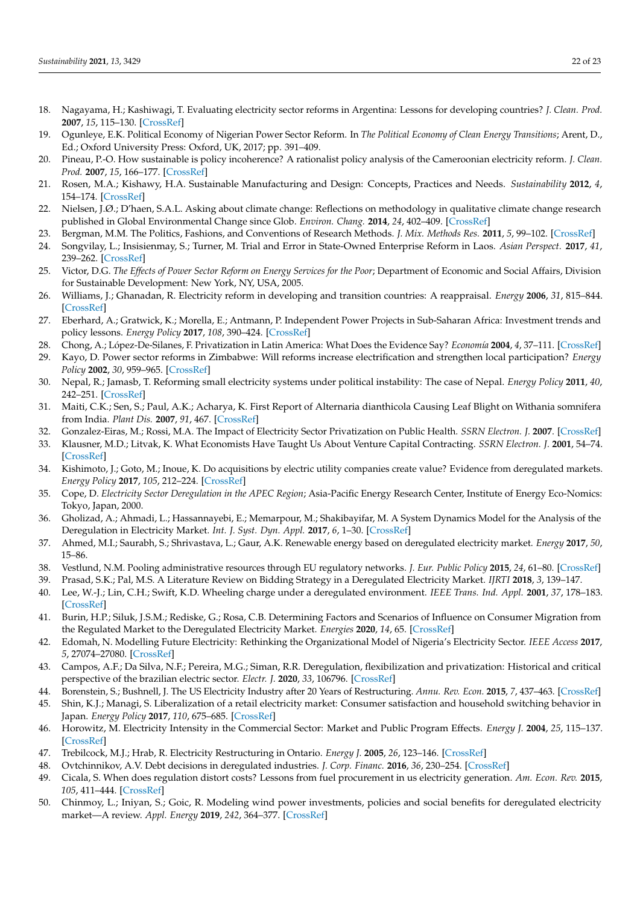- <span id="page-21-0"></span>18. Nagayama, H.; Kashiwagi, T. Evaluating electricity sector reforms in Argentina: Lessons for developing countries? *J. Clean. Prod.* **2007**, *15*, 115–130. [\[CrossRef\]](http://doi.org/10.1016/j.jclepro.2005.11.056)
- <span id="page-21-1"></span>19. Ogunleye, E.K. Political Economy of Nigerian Power Sector Reform. In *The Political Economy of Clean Energy Transitions*; Arent, D., Ed.; Oxford University Press: Oxford, UK, 2017; pp. 391–409.
- <span id="page-21-2"></span>20. Pineau, P.-O. How sustainable is policy incoherence? A rationalist policy analysis of the Cameroonian electricity reform. *J. Clean. Prod.* **2007**, *15*, 166–177. [\[CrossRef\]](http://doi.org/10.1016/j.jclepro.2005.09.002)
- <span id="page-21-3"></span>21. Rosen, M.A.; Kishawy, H.A. Sustainable Manufacturing and Design: Concepts, Practices and Needs. *Sustainability* **2012**, *4*, 154–174. [\[CrossRef\]](http://doi.org/10.3390/su4020154)
- <span id="page-21-4"></span>22. Nielsen, J.Ø.; D'haen, S.A.L. Asking about climate change: Reflections on methodology in qualitative climate change research published in Global Environmental Change since Glob. *Environ. Chang.* **2014**, *24*, 402–409. [\[CrossRef\]](http://doi.org/10.1016/j.gloenvcha.2013.10.006)
- <span id="page-21-5"></span>23. Bergman, M.M. The Politics, Fashions, and Conventions of Research Methods. *J. Mix. Methods Res.* **2011**, *5*, 99–102. [\[CrossRef\]](http://doi.org/10.1177/1558689811408318)
- <span id="page-21-6"></span>24. Songvilay, L.; Insisienmay, S.; Turner, M. Trial and Error in State-Owned Enterprise Reform in Laos. *Asian Perspect.* **2017**, *41*, 239–262. [\[CrossRef\]](http://doi.org/10.1353/apr.2017.0012)
- <span id="page-21-7"></span>25. Victor, D.G. *The Effects of Power Sector Reform on Energy Services for the Poor*; Department of Economic and Social Affairs, Division for Sustainable Development: New York, NY, USA, 2005.
- <span id="page-21-8"></span>26. Williams, J.; Ghanadan, R. Electricity reform in developing and transition countries: A reappraisal. *Energy* **2006**, *31*, 815–844. [\[CrossRef\]](http://doi.org/10.1016/j.energy.2005.02.008)
- <span id="page-21-9"></span>27. Eberhard, A.; Gratwick, K.; Morella, E.; Antmann, P. Independent Power Projects in Sub-Saharan Africa: Investment trends and policy lessons. *Energy Policy* **2017**, *108*, 390–424. [\[CrossRef\]](http://doi.org/10.1016/j.enpol.2017.05.023)
- <span id="page-21-10"></span>28. Chong, A.; López-De-Silanes, F. Privatization in Latin America: What Does the Evidence Say? *Economía* **2004**, *4*, 37–111. [\[CrossRef\]](http://doi.org/10.1353/eco.2004.0013)
- <span id="page-21-11"></span>29. Kayo, D. Power sector reforms in Zimbabwe: Will reforms increase electrification and strengthen local participation? *Energy Policy* **2002**, *30*, 959–965. [\[CrossRef\]](http://doi.org/10.1016/S0301-4215(02)00050-2)
- <span id="page-21-12"></span>30. Nepal, R.; Jamasb, T. Reforming small electricity systems under political instability: The case of Nepal. *Energy Policy* **2011**, *40*, 242–251. [\[CrossRef\]](http://doi.org/10.1016/j.enpol.2011.09.062)
- <span id="page-21-13"></span>31. Maiti, C.K.; Sen, S.; Paul, A.K.; Acharya, K. First Report of Alternaria dianthicola Causing Leaf Blight on Withania somnifera from India. *Plant Dis.* **2007**, *91*, 467. [\[CrossRef\]](http://doi.org/10.1094/PDIS-91-4-0467B)
- <span id="page-21-14"></span>32. Gonzalez-Eiras, M.; Rossi, M.A. The Impact of Electricity Sector Privatization on Public Health. *SSRN Electron. J.* **2007**. [\[CrossRef\]](http://doi.org/10.2139/ssrn.1815900)
- <span id="page-21-15"></span>33. Klausner, M.D.; Litvak, K. What Economists Have Taught Us About Venture Capital Contracting. *SSRN Electron. J.* **2001**, 54–74. [\[CrossRef\]](http://doi.org/10.2139/ssrn.280024)
- <span id="page-21-16"></span>34. Kishimoto, J.; Goto, M.; Inoue, K. Do acquisitions by electric utility companies create value? Evidence from deregulated markets. *Energy Policy* **2017**, *105*, 212–224. [\[CrossRef\]](http://doi.org/10.1016/j.enpol.2017.02.032)
- <span id="page-21-17"></span>35. Cope, D. *Electricity Sector Deregulation in the APEC Region*; Asia-Pacific Energy Research Center, Institute of Energy Eco-Nomics: Tokyo, Japan, 2000.
- <span id="page-21-18"></span>36. Gholizad, A.; Ahmadi, L.; Hassannayebi, E.; Memarpour, M.; Shakibayifar, M. A System Dynamics Model for the Analysis of the Deregulation in Electricity Market. *Int. J. Syst. Dyn. Appl.* **2017**, *6*, 1–30. [\[CrossRef\]](http://doi.org/10.4018/IJSDA.2017040101)
- <span id="page-21-19"></span>37. Ahmed, M.I.; Saurabh, S.; Shrivastava, L.; Gaur, A.K. Renewable energy based on deregulated electricity market. *Energy* **2017**, *50*, 15–86.
- <span id="page-21-20"></span>38. Vestlund, N.M. Pooling administrative resources through EU regulatory networks. *J. Eur. Public Policy* **2015**, *24*, 61–80. [\[CrossRef\]](http://doi.org/10.1080/13501763.2015.1118147)
- <span id="page-21-21"></span>39. Prasad, S.K.; Pal, M.S. A Literature Review on Bidding Strategy in a Deregulated Electricity Market. *IJRTI* **2018**, *3*, 139–147.
- <span id="page-21-22"></span>40. Lee, W.-J.; Lin, C.H.; Swift, K.D. Wheeling charge under a deregulated environment. *IEEE Trans. Ind. Appl.* **2001**, *37*, 178–183. [\[CrossRef\]](http://doi.org/10.1109/28.903144)
- <span id="page-21-23"></span>41. Burin, H.P.; Siluk, J.S.M.; Rediske, G.; Rosa, C.B. Determining Factors and Scenarios of Influence on Consumer Migration from the Regulated Market to the Deregulated Electricity Market. *Energies* **2020**, *14*, 65. [\[CrossRef\]](http://doi.org/10.3390/en14010065)
- <span id="page-21-24"></span>42. Edomah, N. Modelling Future Electricity: Rethinking the Organizational Model of Nigeria's Electricity Sector. *IEEE Access* **2017**, *5*, 27074–27080. [\[CrossRef\]](http://doi.org/10.1109/ACCESS.2017.2769338)
- <span id="page-21-25"></span>43. Campos, A.F.; Da Silva, N.F.; Pereira, M.G.; Siman, R.R. Deregulation, flexibilization and privatization: Historical and critical perspective of the brazilian electric sector. *Electr. J.* **2020**, *33*, 106796. [\[CrossRef\]](http://doi.org/10.1016/j.tej.2020.106796)
- <span id="page-21-26"></span>44. Borenstein, S.; Bushnell, J. The US Electricity Industry after 20 Years of Restructuring. *Annu. Rev. Econ.* **2015**, *7*, 437–463. [\[CrossRef\]](http://doi.org/10.1146/annurev-economics-080614-115630)
- <span id="page-21-27"></span>45. Shin, K.J.; Managi, S. Liberalization of a retail electricity market: Consumer satisfaction and household switching behavior in Japan. *Energy Policy* **2017**, *110*, 675–685. [\[CrossRef\]](http://doi.org/10.1016/j.enpol.2017.07.048)
- <span id="page-21-28"></span>46. Horowitz, M. Electricity Intensity in the Commercial Sector: Market and Public Program Effects. *Energy J.* **2004**, *25*, 115–137. [\[CrossRef\]](http://doi.org/10.5547/ISSN0195-6574-EJ-VOL25-NO2-6.HOROWITZ)
- <span id="page-21-29"></span>47. Trebilcock, M.J.; Hrab, R. Electricity Restructuring in Ontario. *Energy J.* **2005**, *26*, 123–146. [\[CrossRef\]](http://doi.org/10.5547/ISSN0195-6574-EJ-Vol26-No1-6)
- <span id="page-21-30"></span>48. Ovtchinnikov, A.V. Debt decisions in deregulated industries. *J. Corp. Financ.* **2016**, *36*, 230–254. [\[CrossRef\]](http://doi.org/10.1016/j.jcorpfin.2015.12.010)
- <span id="page-21-31"></span>49. Cicala, S. When does regulation distort costs? Lessons from fuel procurement in us electricity generation. *Am. Econ. Rev.* **2015**, *105*, 411–444. [\[CrossRef\]](http://doi.org/10.1257/aer.20131377)
- <span id="page-21-32"></span>50. Chinmoy, L.; Iniyan, S.; Goic, R. Modeling wind power investments, policies and social benefits for deregulated electricity market—A review. *Appl. Energy* **2019**, *242*, 364–377. [\[CrossRef\]](http://doi.org/10.1016/j.apenergy.2019.03.088)